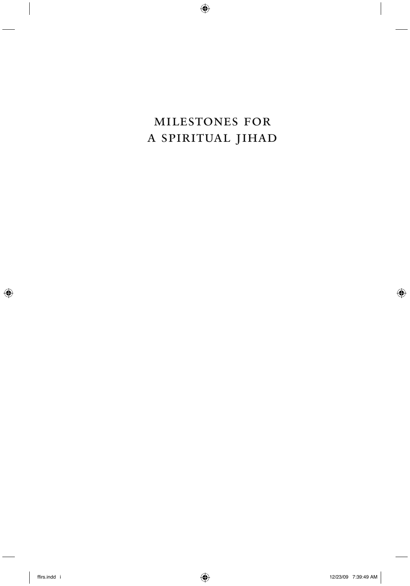

 $\bigoplus$ 

L

 $\bigoplus$ 

ffirs.indd i 12/23/09 7:39:49 AM  $\bigoplus$ 

 $\overline{\phantom{a}}$ 

 $\bigoplus$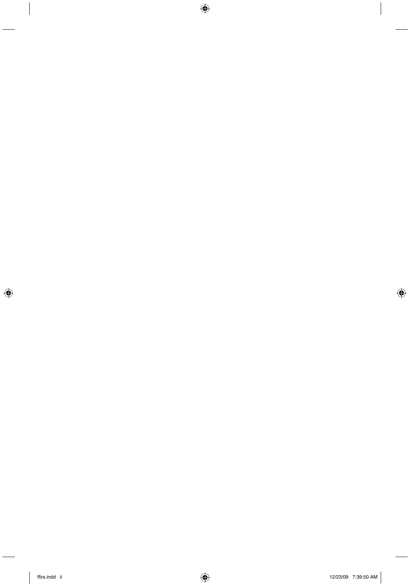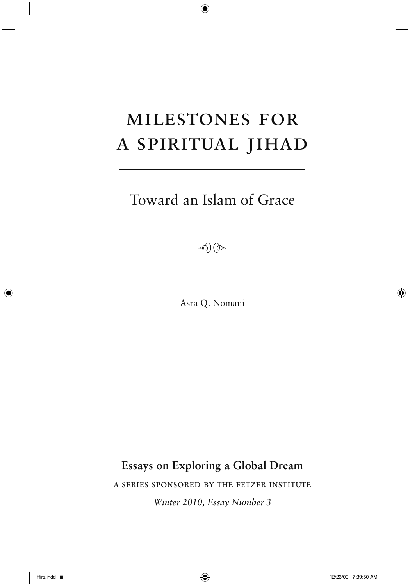# milestones for a spiritual jihad

 $\bigoplus$ 

Toward an Islam of Grace

^<sup>6</sup> ගිල

Asra Q. Nomani

## **Essays on Exploring a Global Dream**

a series sponsored by the fetzer institute

*Winter 2010, Essay Number 3*

 $\bigoplus$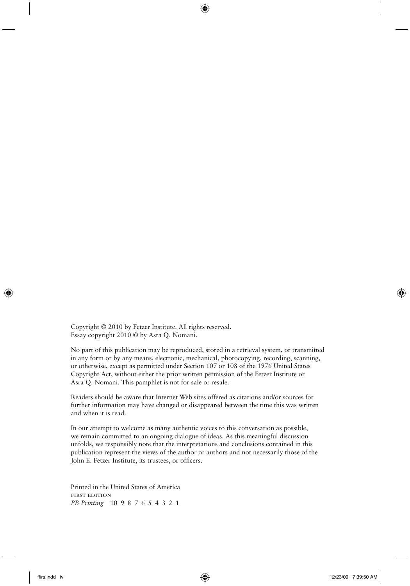Copyright © 2010 by Fetzer Institute. All rights reserved. Essay copyright 2010 © by Asra Q. Nomani.

No part of this publication may be reproduced, stored in a retrieval system, or transmitted in any form or by any means, electronic, mechanical, photocopying, recording, scanning, or otherwise, except as permitted under Section 107 or 108 of the 1976 United States Copyright Act, without either the prior written permission of the Fetzer Institute or Asra Q. Nomani. This pamphlet is not for sale or resale.

⊕

Readers should be aware that Internet Web sites offered as citations and/or sources for further information may have changed or disappeared between the time this was written and when it is read.

In our attempt to welcome as many authentic voices to this conversation as possible, we remain committed to an ongoing dialogue of ideas. As this meaningful discussion unfolds, we responsibly note that the interpretations and conclusions contained in this publication represent the views of the author or authors and not necessarily those of the John E. Fetzer Institute, its trustees, or officers.

Printed in the United States of America first edition *PB Printing* 10 9 8 7 6 5 4 3 2 1

⊕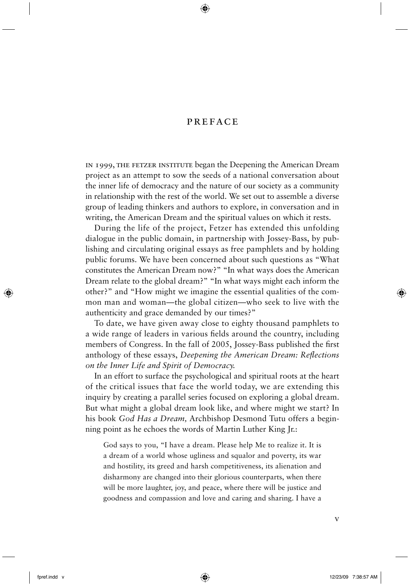#### preface

⊕

in 1999, the fetzer institute began the Deepening the American Dream project as an attempt to sow the seeds of a national conversation about the inner life of democracy and the nature of our society as a community in relationship with the rest of the world. We set out to assemble a diverse group of leading thinkers and authors to explore, in conversation and in writing, the American Dream and the spiritual values on which it rests.

During the life of the project, Fetzer has extended this unfolding dialogue in the public domain, in partnership with Jossey-Bass, by publishing and circulating original essays as free pamphlets and by holding public forums. We have been concerned about such questions as "What constitutes the American Dream now?" "In what ways does the American Dream relate to the global dream?" "In what ways might each inform the other?" and "How might we imagine the essential qualities of the common man and woman—the global citizen—who seek to live with the authenticity and grace demanded by our times?"

To date, we have given away close to eighty thousand pamphlets to a wide range of leaders in various fields around the country, including members of Congress. In the fall of 2005, Jossey-Bass published the first anthology of these essays, *Deepening the American Dream: Reflections on the Inner Life and Spirit of Democracy.*

In an effort to surface the psychological and spiritual roots at the heart of the critical issues that face the world today, we are extending this inquiry by creating a parallel series focused on exploring a global dream. But what might a global dream look like, and where might we start? In his book *God Has a Dream,* Archbishop Desmond Tutu offers a beginning point as he echoes the words of Martin Luther King Jr.:

God says to you, "I have a dream. Please help Me to realize it. It is a dream of a world whose ugliness and squalor and poverty, its war and hostility, its greed and harsh competitiveness, its alienation and disharmony are changed into their glorious counterparts, when there will be more laughter, joy, and peace, where there will be justice and goodness and compassion and love and caring and sharing. I have a

v

⊕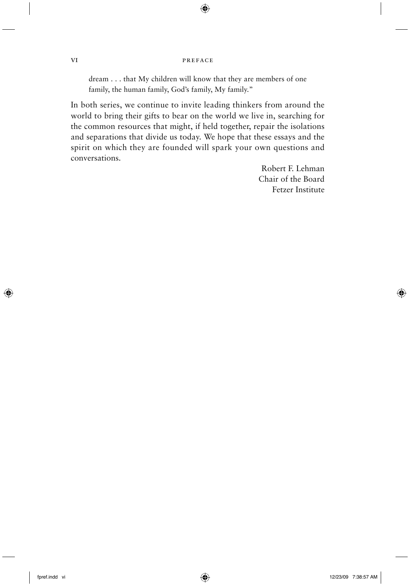#### vi preface

 $\bigoplus$ 

dream . . . that My children will know that they are members of one family, the human family, God's family, My family."

In both series, we continue to invite leading thinkers from around the world to bring their gifts to bear on the world we live in, searching for the common resources that might, if held together, repair the isolations and separations that divide us today. We hope that these essays and the spirit on which they are founded will spark your own questions and conversations.

> Robert F. Lehman Chair of the Board Fetzer Institute

⊕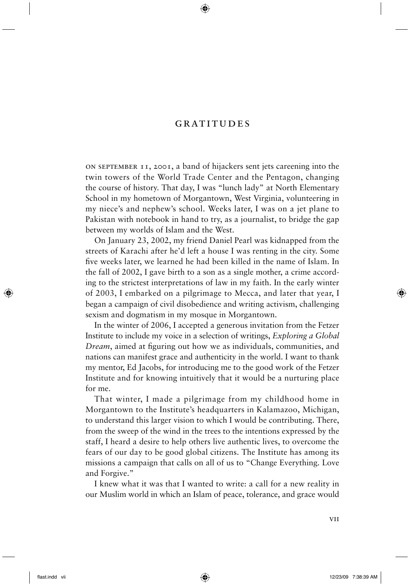## **GRATITUDES**

⊕

on september 11, 2001, a band of hijackers sent jets careening into the twin towers of the World Trade Center and the Pentagon, changing the course of history. That day, I was "lunch lady" at North Elementary School in my hometown of Morgantown, West Virginia, volunteering in my niece's and nephew's school. Weeks later, I was on a jet plane to Pakistan with notebook in hand to try, as a journalist, to bridge the gap between my worlds of Islam and the West.

On January 23, 2002, my friend Daniel Pearl was kidnapped from the streets of Karachi after he'd left a house I was renting in the city. Some five weeks later, we learned he had been killed in the name of Islam. In the fall of 2002, I gave birth to a son as a single mother, a crime according to the strictest interpretations of law in my faith. In the early winter of 2003, I embarked on a pilgrimage to Mecca, and later that year, I began a campaign of civil disobedience and writing activism, challenging sexism and dogmatism in my mosque in Morgantown.

In the winter of 2006, I accepted a generous invitation from the Fetzer Institute to include my voice in a selection of writings, *Exploring a Global Dream*, aimed at figuring out how we as individuals, communities, and nations can manifest grace and authenticity in the world. I want to thank my mentor, Ed Jacobs, for introducing me to the good work of the Fetzer Institute and for knowing intuitively that it would be a nurturing place for me.

That winter, I made a pilgrimage from my childhood home in Morgantown to the Institute's headquarters in Kalamazoo, Michigan, to understand this larger vision to which I would be contributing. There, from the sweep of the wind in the trees to the intentions expressed by the staff, I heard a desire to help others live authentic lives, to overcome the fears of our day to be good global citizens. The Institute has among its missions a campaign that calls on all of us to "Change Everything. Love and Forgive."

I knew what it was that I wanted to write: a call for a new reality in our Muslim world in which an Islam of peace, tolerance, and grace would

vii

↔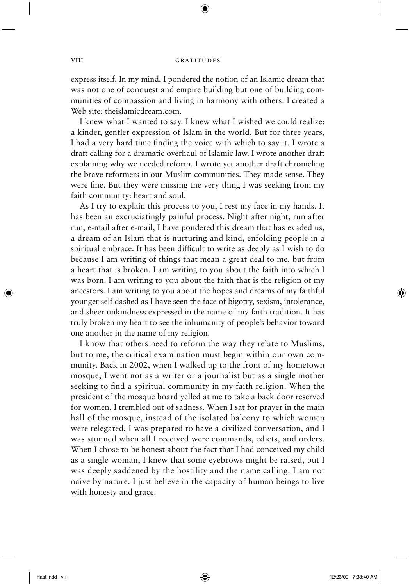#### VIII GRATITUDES

⊕

express itself. In my mind, I pondered the notion of an Islamic dream that was not one of conquest and empire building but one of building communities of compassion and living in harmony with others. I created a Web site: theislamicdream.com.

I knew what I wanted to say. I knew what I wished we could realize: a kinder, gentler expression of Islam in the world. But for three years, I had a very hard time finding the voice with which to say it. I wrote a draft calling for a dramatic overhaul of Islamic law. I wrote another draft explaining why we needed reform. I wrote yet another draft chronicling the brave reformers in our Muslim communities. They made sense. They were fine. But they were missing the very thing I was seeking from my faith community: heart and soul.

As I try to explain this process to you, I rest my face in my hands. It has been an excruciatingly painful process. Night after night, run after run, e-mail after e-mail, I have pondered this dream that has evaded us, a dream of an Islam that is nurturing and kind, enfolding people in a spiritual embrace. It has been difficult to write as deeply as I wish to do because I am writing of things that mean a great deal to me, but from a heart that is broken. I am writing to you about the faith into which I was born. I am writing to you about the faith that is the religion of my ancestors. I am writing to you about the hopes and dreams of my faithful younger self dashed as I have seen the face of bigotry, sexism, intolerance, and sheer unkindness expressed in the name of my faith tradition. It has truly broken my heart to see the inhumanity of people's behavior toward one another in the name of my religion.

I know that others need to reform the way they relate to Muslims, but to me, the critical examination must begin within our own community. Back in 2002, when I walked up to the front of my hometown mosque, I went not as a writer or a journalist but as a single mother seeking to find a spiritual community in my faith religion. When the president of the mosque board yelled at me to take a back door reserved for women, I trembled out of sadness. When I sat for prayer in the main hall of the mosque, instead of the isolated balcony to which women were relegated, I was prepared to have a civilized conversation, and I was stunned when all I received were commands, edicts, and orders. When I chose to be honest about the fact that I had conceived my child as a single woman, I knew that some eyebrows might be raised, but I was deeply saddened by the hostility and the name calling. I am not naive by nature. I just believe in the capacity of human beings to live with honesty and grace.

↔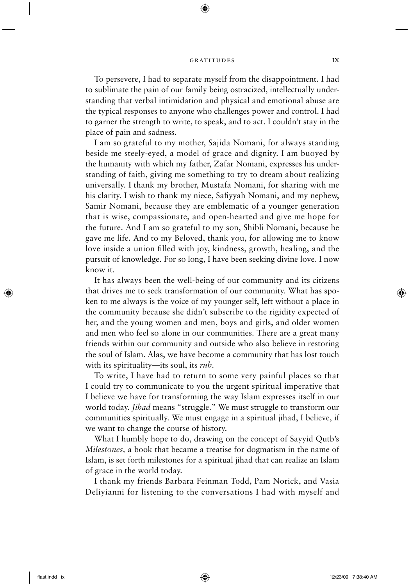#### gratitudes ix

⊕

To persevere, I had to separate myself from the disappointment. I had to sublimate the pain of our family being ostracized, intellectually understanding that verbal intimidation and physical and emotional abuse are the typical responses to anyone who challenges power and control. I had to garner the strength to write, to speak, and to act. I couldn't stay in the place of pain and sadness.

I am so grateful to my mother, Sajida Nomani, for always standing beside me steely-eyed, a model of grace and dignity. I am buoyed by the humanity with which my father, Zafar Nomani, expresses his understanding of faith, giving me something to try to dream about realizing universally. I thank my brother, Mustafa Nomani, for sharing with me his clarity. I wish to thank my niece, Safiyyah Nomani, and my nephew, Samir Nomani, because they are emblematic of a younger generation that is wise, compassionate, and open-hearted and give me hope for the future. And I am so grateful to my son, Shibli Nomani, because he gave me life. And to my Beloved, thank you, for allowing me to know love inside a union filled with joy, kindness, growth, healing, and the pursuit of knowledge. For so long, I have been seeking divine love. I now know it.

It has always been the well-being of our community and its citizens that drives me to seek transformation of our community. What has spoken to me always is the voice of my younger self, left without a place in the community because she didn't subscribe to the rigidity expected of her, and the young women and men, boys and girls, and older women and men who feel so alone in our communities. There are a great many friends within our community and outside who also believe in restoring the soul of Islam. Alas, we have become a community that has lost touch with its spirituality—its soul, its *ruh.*

To write, I have had to return to some very painful places so that I could try to communicate to you the urgent spiritual imperative that I believe we have for transforming the way Islam expresses itself in our world today. *Jihad* means "struggle." We must struggle to transform our communities spiritually. We must engage in a spiritual jihad, I believe, if we want to change the course of history.

What I humbly hope to do, drawing on the concept of Sayyid Qutb's *Milestones,* a book that became a treatise for dogmatism in the name of Islam, is set forth milestones for a spiritual jihad that can realize an Islam of grace in the world today.

I thank my friends Barbara Feinman Todd, Pam Norick, and Vasia Deliyianni for listening to the conversations I had with myself and

↔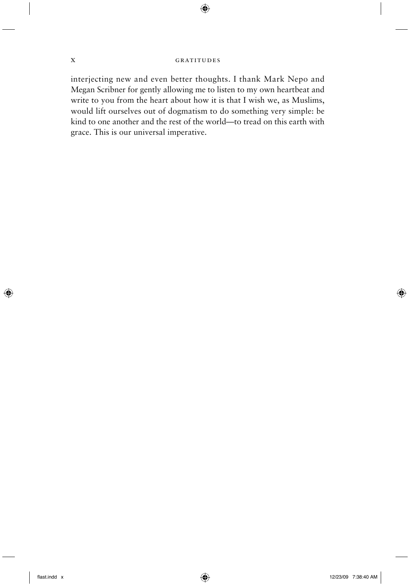#### X GRATITUDES

 $\bigoplus$ 

interjecting new and even better thoughts. I thank Mark Nepo and Megan Scribner for gently allowing me to listen to my own heartbeat and write to you from the heart about how it is that I wish we, as Muslims, would lift ourselves out of dogmatism to do something very simple: be kind to one another and the rest of the world—to tread on this earth with grace. This is our universal imperative.

 $\bigoplus$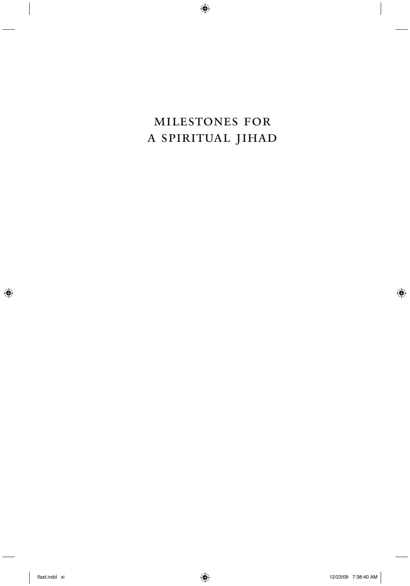

 $\bigoplus$ 

L

 $\bigoplus$ 

 $\overline{\phantom{a}}$ 

 $\bigoplus$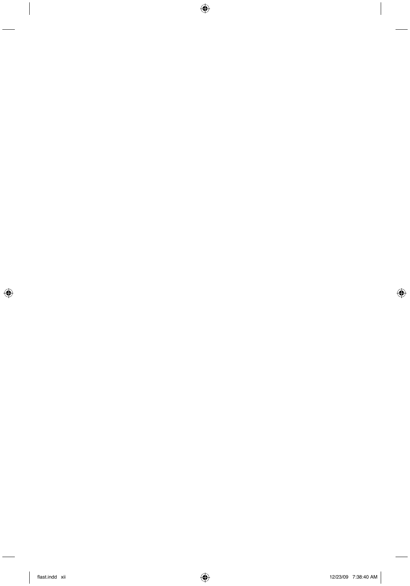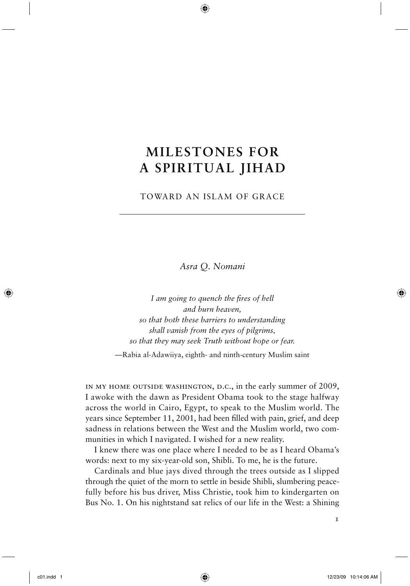## **MILESTONES FOR A SPIRITUAL JIHAD**

⊕

## TOWARD AN ISLAM OF GRACE

*Asra Q. Nomani*

*I am going to quench the fires of hell and burn heaven, so that both these barriers to understanding shall vanish from the eyes of pilgrims, so that they may seek Truth without hope or fear.*

—Rabia al-Adawiiya, eighth- and ninth-century Muslim saint

in my home outside washington, d.c., in the early summer of 2009, I awoke with the dawn as President Obama took to the stage halfway across the world in Cairo, Egypt, to speak to the Muslim world. The years since September 11, 2001, had been filled with pain, grief, and deep sadness in relations between the West and the Muslim world, two communities in which I navigated. I wished for a new reality.

I knew there was one place where I needed to be as I heard Obama's words: next to my six-year-old son, Shibli. To me, he is the future.

Cardinals and blue jays dived through the trees outside as I slipped through the quiet of the morn to settle in beside Shibli, slumbering peacefully before his bus driver, Miss Christie, took him to kindergarten on Bus No. 1. On his nightstand sat relics of our life in the West: a Shining

 $\mathbf I$ 

↔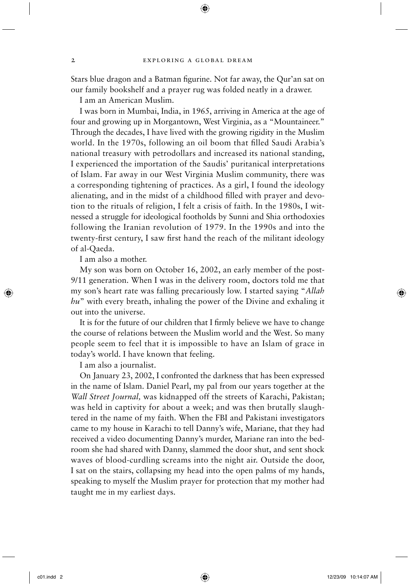Stars blue dragon and a Batman figurine. Not far away, the Qur'an sat on our family bookshelf and a prayer rug was folded neatly in a drawer.

I am an American Muslim.

I was born in Mumbai, India, in 1965, arriving in America at the age of four and growing up in Morgantown, West Virginia, as a "Mountaineer." Through the decades, I have lived with the growing rigidity in the Muslim world. In the 1970s, following an oil boom that filled Saudi Arabia's national treasury with petrodollars and increased its national standing, I experienced the importation of the Saudis' puritanical interpretations of Islam. Far away in our West Virginia Muslim community, there was a corresponding tightening of practices. As a girl, I found the ideology alienating, and in the midst of a childhood filled with prayer and devotion to the rituals of religion, I felt a crisis of faith. In the 1980s, I witnessed a struggle for ideological footholds by Sunni and Shia orthodoxies following the Iranian revolution of 1979. In the 1990s and into the twenty-first century, I saw first hand the reach of the militant ideology of al-Qaeda.

I am also a mother.

My son was born on October 16, 2002, an early member of the post-9/11 generation. When I was in the delivery room, doctors told me that my son's heart rate was falling precariously low. I started saying "*Allah hu*" with every breath, inhaling the power of the Divine and exhaling it out into the universe.

It is for the future of our children that I firmly believe we have to change the course of relations between the Muslim world and the West. So many people seem to feel that it is impossible to have an Islam of grace in today's world. I have known that feeling.

I am also a journalist.

On January 23, 2002, I confronted the darkness that has been expressed in the name of Islam. Daniel Pearl, my pal from our years together at the *Wall Street Journal,* was kidnapped off the streets of Karachi, Pakistan; was held in captivity for about a week; and was then brutally slaughtered in the name of my faith. When the FBI and Pakistani investigators came to my house in Karachi to tell Danny's wife, Mariane, that they had received a video documenting Danny's murder, Mariane ran into the bedroom she had shared with Danny, slammed the door shut, and sent shock waves of blood-curdling screams into the night air. Outside the door, I sat on the stairs, collapsing my head into the open palms of my hands, speaking to myself the Muslim prayer for protection that my mother had taught me in my earliest days.

⊕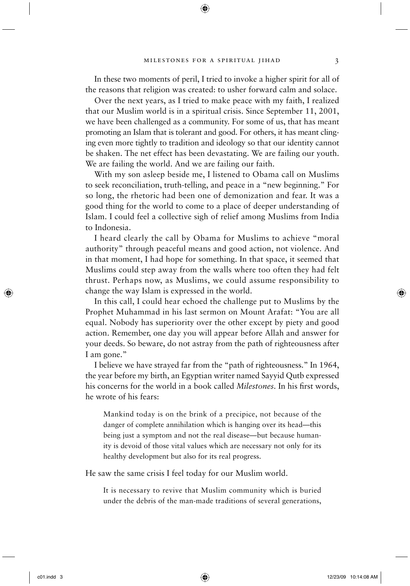#### milestones for a spiritual jihad 3

⊕

In these two moments of peril, I tried to invoke a higher spirit for all of the reasons that religion was created: to usher forward calm and solace.

Over the next years, as I tried to make peace with my faith, I realized that our Muslim world is in a spiritual crisis. Since September 11, 2001, we have been challenged as a community. For some of us, that has meant promoting an Islam that is tolerant and good. For others, it has meant clinging even more tightly to tradition and ideology so that our identity cannot be shaken. The net effect has been devastating. We are failing our youth. We are failing the world. And we are failing our faith.

With my son asleep beside me, I listened to Obama call on Muslims to seek reconciliation, truth-telling, and peace in a "new beginning." For so long, the rhetoric had been one of demonization and fear. It was a good thing for the world to come to a place of deeper understanding of Islam. I could feel a collective sigh of relief among Muslims from India to Indonesia.

I heard clearly the call by Obama for Muslims to achieve "moral authority" through peaceful means and good action, not violence. And in that moment, I had hope for something. In that space, it seemed that Muslims could step away from the walls where too often they had felt thrust. Perhaps now, as Muslims, we could assume responsibility to change the way Islam is expressed in the world.

In this call, I could hear echoed the challenge put to Muslims by the Prophet Muhammad in his last sermon on Mount Arafat: "You are all equal. Nobody has superiority over the other except by piety and good action. Remember, one day you will appear before Allah and answer for your deeds. So beware, do not astray from the path of righteousness after I am gone."

I believe we have strayed far from the "path of righteousness." In 1964, the year before my birth, an Egyptian writer named Sayyid Qutb expressed his concerns for the world in a book called *Milestones*. In his first words, he wrote of his fears:

Mankind today is on the brink of a precipice, not because of the danger of complete annihilation which is hanging over its head—this being just a symptom and not the real disease—but because humanity is devoid of those vital values which are necessary not only for its healthy development but also for its real progress.

He saw the same crisis I feel today for our Muslim world.

It is necessary to revive that Muslim community which is buried under the debris of the man-made traditions of several generations,

⇔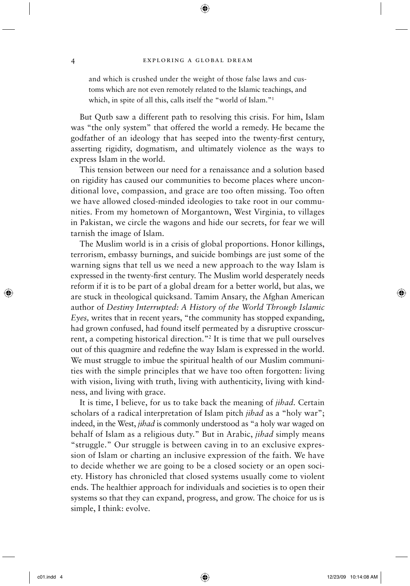and which is crushed under the weight of those false laws and customs which are not even remotely related to the Islamic teachings, and which, in spite of all this, calls itself the "world of Islam."<sup>1</sup>

But Qutb saw a different path to resolving this crisis. For him, Islam was "the only system" that offered the world a remedy. He became the godfather of an ideology that has seeped into the twenty-first century, asserting rigidity, dogmatism, and ultimately violence as the ways to express Islam in the world.

This tension between our need for a renaissance and a solution based on rigidity has caused our communities to become places where unconditional love, compassion, and grace are too often missing. Too often we have allowed closed-minded ideologies to take root in our communities. From my hometown of Morgantown, West Virginia, to villages in Pakistan, we circle the wagons and hide our secrets, for fear we will tarnish the image of Islam.

The Muslim world is in a crisis of global proportions. Honor killings, terrorism, embassy burnings, and suicide bombings are just some of the warning signs that tell us we need a new approach to the way Islam is expressed in the twenty-first century. The Muslim world desperately needs reform if it is to be part of a global dream for a better world, but alas, we are stuck in theological quicksand. Tamim Ansary, the Afghan American author of *Destiny Interrupted: A History of the World Through Islamic Eyes,* writes that in recent years, "the community has stopped expanding, had grown confused, had found itself permeated by a disruptive crosscurrent, a competing historical direction."2 It is time that we pull ourselves out of this quagmire and redefine the way Islam is expressed in the world. We must struggle to imbue the spiritual health of our Muslim communities with the simple principles that we have too often forgotten: living with vision, living with truth, living with authenticity, living with kindness, and living with grace.

It is time, I believe, for us to take back the meaning of *jihad.* Certain scholars of a radical interpretation of Islam pitch *jihad* as a "holy war"; indeed, in the West, *jihad* is commonly understood as "a holy war waged on behalf of Islam as a religious duty." But in Arabic, *jihad* simply means "struggle." Our struggle is between caving in to an exclusive expression of Islam or charting an inclusive expression of the faith. We have to decide whether we are going to be a closed society or an open society. History has chronicled that closed systems usually come to violent ends. The healthier approach for individuals and societies is to open their systems so that they can expand, progress, and grow. The choice for us is simple, I think: evolve.

⊕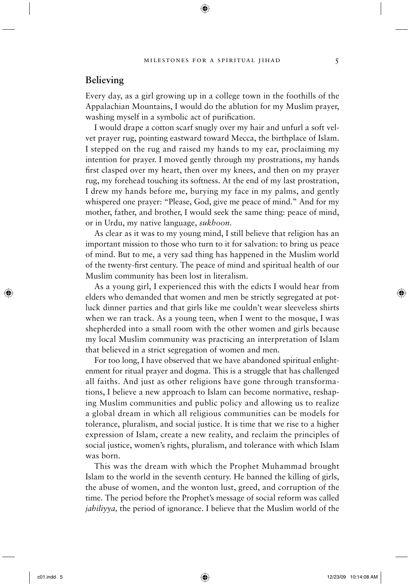## **Believing**

Every day, as a girl growing up in a college town in the foothills of the Appalachian Mountains, I would do the ablution for my Muslim prayer, washing myself in a symbolic act of purification.

I would drape a cotton scarf snugly over my hair and unfurl a soft velvet prayer rug, pointing eastward toward Mecca, the birthplace of Islam. I stepped on the rug and raised my hands to my ear, proclaiming my intention for prayer. I moved gently through my prostrations, my hands first clasped over my heart, then over my knees, and then on my prayer rug, my forehead touching its softness. At the end of my last prostration, I drew my hands before me, burying my face in my palms, and gently whispered one prayer: "Please, God, give me peace of mind." And for my mother, father, and brother, I would seek the same thing: peace of mind, or in Urdu, my native language, *sukhoon.*

As clear as it was to my young mind, I still believe that religion has an important mission to those who turn to it for salvation: to bring us peace of mind. But to me, a very sad thing has happened in the Muslim world of the twenty-first century. The peace of mind and spiritual health of our Muslim community has been lost in literalism.

As a young girl, I experienced this with the edicts I would hear from elders who demanded that women and men be strictly segregated at potluck dinner parties and that girls like me couldn't wear sleeveless shirts when we ran track. As a young teen, when I went to the mosque, I was shepherded into a small room with the other women and girls because my local Muslim community was practicing an interpretation of Islam that believed in a strict segregation of women and men.

For too long, I have observed that we have abandoned spiritual enlightenment for ritual prayer and dogma. This is a struggle that has challenged all faiths. And just as other religions have gone through transformations, I believe a new approach to Islam can become normative, reshaping Muslim communities and public policy and allowing us to realize a global dream in which all religious communities can be models for tolerance, pluralism, and social justice. It is time that we rise to a higher expression of Islam, create a new reality, and reclaim the principles of social justice, women's rights, pluralism, and tolerance with which Islam was born.

This was the dream with which the Prophet Muhammad brought Islam to the world in the seventh century. He banned the killing of girls, the abuse of women, and the wonton lust, greed, and corruption of the time. The period before the Prophet's message of social reform was called *jahiliyya,* the period of ignorance. I believe that the Muslim world of the

↔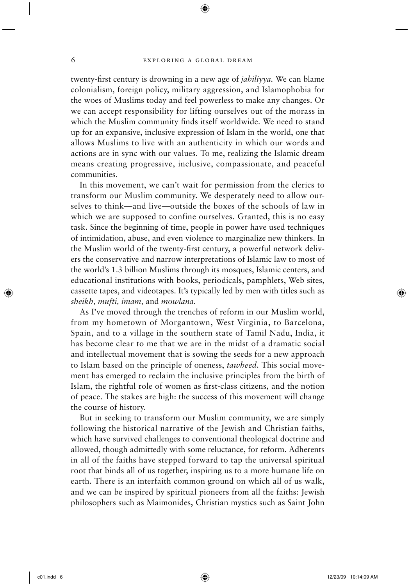### 6 exploring a global dream

⊕

twenty-first century is drowning in a new age of *jahiliyya*. We can blame colonialism, foreign policy, military aggression, and Islamophobia for the woes of Muslims today and feel powerless to make any changes. Or we can accept responsibility for lifting ourselves out of the morass in which the Muslim community finds itself worldwide. We need to stand up for an expansive, inclusive expression of Islam in the world, one that allows Muslims to live with an authenticity in which our words and actions are in sync with our values. To me, realizing the Islamic dream means creating progressive, inclusive, compassionate, and peaceful communities.

In this movement, we can't wait for permission from the clerics to transform our Muslim community. We desperately need to allow ourselves to think—and live—outside the boxes of the schools of law in which we are supposed to confine ourselves. Granted, this is no easy task. Since the beginning of time, people in power have used techniques of intimidation, abuse, and even violence to marginalize new thinkers. In the Muslim world of the twenty-first century, a powerful network delivers the conservative and narrow interpretations of Islamic law to most of the world's 1.3 billion Muslims through its mosques, Islamic centers, and educational institutions with books, periodicals, pamphlets, Web sites, cassette tapes, and videotapes. It's typically led by men with titles such as *sheikh, mufti, imam,* and *mowlana.*

As I've moved through the trenches of reform in our Muslim world, from my hometown of Morgantown, West Virginia, to Barcelona, Spain, and to a village in the southern state of Tamil Nadu, India, it has become clear to me that we are in the midst of a dramatic social and intellectual movement that is sowing the seeds for a new approach to Islam based on the principle of oneness, *tawheed.* This social movement has emerged to reclaim the inclusive principles from the birth of Islam, the rightful role of women as first-class citizens, and the notion of peace. The stakes are high: the success of this movement will change the course of history.

But in seeking to transform our Muslim community, we are simply following the historical narrative of the Jewish and Christian faiths, which have survived challenges to conventional theological doctrine and allowed, though admittedly with some reluctance, for reform. Adherents in all of the faiths have stepped forward to tap the universal spiritual root that binds all of us together, inspiring us to a more humane life on earth. There is an interfaith common ground on which all of us walk, and we can be inspired by spiritual pioneers from all the faiths: Jewish philosophers such as Maimonides, Christian mystics such as Saint John

⊕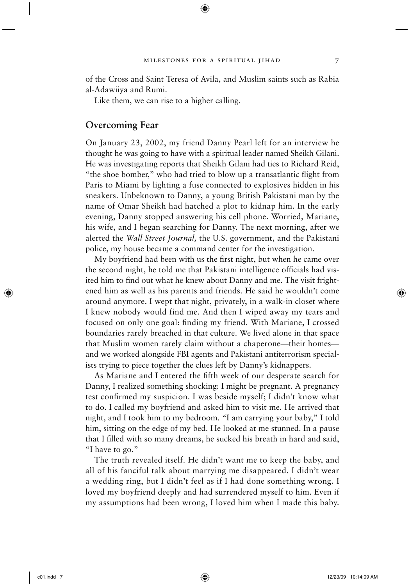of the Cross and Saint Teresa of Avila, and Muslim saints such as Rabia al-Adawiiya and Rumi.

Like them, we can rise to a higher calling.

## **Overcoming Fear**

On January 23, 2002, my friend Danny Pearl left for an interview he thought he was going to have with a spiritual leader named Sheikh Gilani. He was investigating reports that Sheikh Gilani had ties to Richard Reid, "the shoe bomber," who had tried to blow up a transatlantic flight from Paris to Miami by lighting a fuse connected to explosives hidden in his sneakers. Unbeknown to Danny, a young British Pakistani man by the name of Omar Sheikh had hatched a plot to kidnap him. In the early evening, Danny stopped answering his cell phone. Worried, Mariane, his wife, and I began searching for Danny. The next morning, after we alerted the *Wall Street Journal,* the U.S. government, and the Pakistani police, my house became a command center for the investigation.

My boyfriend had been with us the first night, but when he came over the second night, he told me that Pakistani intelligence officials had visited him to find out what he knew about Danny and me. The visit frightened him as well as his parents and friends. He said he wouldn't come around anymore. I wept that night, privately, in a walk-in closet where I knew nobody would find me. And then I wiped away my tears and focused on only one goal: finding my friend. With Mariane, I crossed boundaries rarely breached in that culture. We lived alone in that space that Muslim women rarely claim without a chaperone—their homes and we worked alongside FBI agents and Pakistani antiterrorism specialists trying to piece together the clues left by Danny's kidnappers.

As Mariane and I entered the fifth week of our desperate search for Danny, I realized something shocking: I might be pregnant. A pregnancy test confirmed my suspicion. I was beside myself; I didn't know what to do. I called my boyfriend and asked him to visit me. He arrived that night, and I took him to my bedroom. "I am carrying your baby," I told him, sitting on the edge of my bed. He looked at me stunned. In a pause that I filled with so many dreams, he sucked his breath in hard and said, "I have to go."

The truth revealed itself. He didn't want me to keep the baby, and all of his fanciful talk about marrying me disappeared. I didn't wear a wedding ring, but I didn't feel as if I had done something wrong. I loved my boyfriend deeply and had surrendered myself to him. Even if my assumptions had been wrong, I loved him when I made this baby.

↔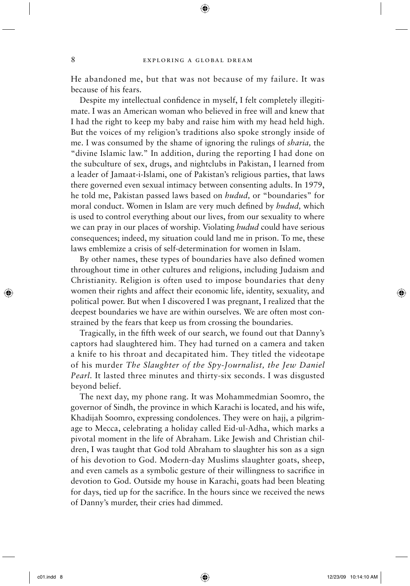#### 8 EXPLORING A GLOBAL DREAM

⊕

He abandoned me, but that was not because of my failure. It was because of his fears.

Despite my intellectual confidence in myself, I felt completely illegitimate. I was an American woman who believed in free will and knew that I had the right to keep my baby and raise him with my head held high. But the voices of my religion's traditions also spoke strongly inside of me. I was consumed by the shame of ignoring the rulings of *sharia,* the "divine Islamic law." In addition, during the reporting I had done on the subculture of sex, drugs, and nightclubs in Pakistan, I learned from a leader of Jamaat-i-Islami, one of Pakistan's religious parties, that laws there governed even sexual intimacy between consenting adults. In 1979, he told me, Pakistan passed laws based on *hudud,* or "boundaries" for moral conduct. Women in Islam are very much defined by *hudud*, which is used to control everything about our lives, from our sexuality to where we can pray in our places of worship. Violating *hudud* could have serious consequences; indeed, my situation could land me in prison. To me, these laws emblemize a crisis of self-determination for women in Islam.

By other names, these types of boundaries have also defined women throughout time in other cultures and religions, including Judaism and Christianity. Religion is often used to impose boundaries that deny women their rights and affect their economic life, identity, sexuality, and political power. But when I discovered I was pregnant, I realized that the deepest boundaries we have are within ourselves. We are often most constrained by the fears that keep us from crossing the boundaries.

Tragically, in the fifth week of our search, we found out that Danny's captors had slaughtered him. They had turned on a camera and taken a knife to his throat and decapitated him. They titled the videotape of his murder *The Slaughter of the Spy-Journalist, the Jew Daniel Pearl.* It lasted three minutes and thirty-six seconds. I was disgusted beyond belief.

The next day, my phone rang. It was Mohammedmian Soomro, the governor of Sindh, the province in which Karachi is located, and his wife, Khadijah Soomro, expressing condolences. They were on hajj, a pilgrimage to Mecca, celebrating a holiday called Eid-ul-Adha, which marks a pivotal moment in the life of Abraham. Like Jewish and Christian children, I was taught that God told Abraham to slaughter his son as a sign of his devotion to God. Modern-day Muslims slaughter goats, sheep, and even camels as a symbolic gesture of their willingness to sacrifice in devotion to God. Outside my house in Karachi, goats had been bleating for days, tied up for the sacrifice. In the hours since we received the news of Danny's murder, their cries had dimmed.

⊕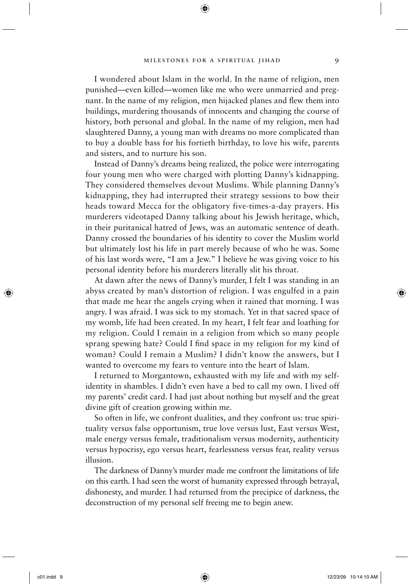#### milestones for a spiritual jihad 9

⊕

I wondered about Islam in the world. In the name of religion, men punished—even killed—women like me who were unmarried and pregnant. In the name of my religion, men hijacked planes and flew them into buildings, murdering thousands of innocents and changing the course of history, both personal and global. In the name of my religion, men had slaughtered Danny, a young man with dreams no more complicated than to buy a double bass for his fortieth birthday, to love his wife, parents and sisters, and to nurture his son.

Instead of Danny's dreams being realized, the police were interrogating four young men who were charged with plotting Danny's kidnapping. They considered themselves devout Muslims. While planning Danny's kidnapping, they had interrupted their strategy sessions to bow their heads toward Mecca for the obligatory five-times-a-day prayers. His murderers videotaped Danny talking about his Jewish heritage, which, in their puritanical hatred of Jews, was an automatic sentence of death. Danny crossed the boundaries of his identity to cover the Muslim world but ultimately lost his life in part merely because of who he was. Some of his last words were, "I am a Jew." I believe he was giving voice to his personal identity before his murderers literally slit his throat.

At dawn after the news of Danny's murder, I felt I was standing in an abyss created by man's distortion of religion. I was engulfed in a pain that made me hear the angels crying when it rained that morning. I was angry. I was afraid. I was sick to my stomach. Yet in that sacred space of my womb, life had been created. In my heart, I felt fear and loathing for my religion. Could I remain in a religion from which so many people sprang spewing hate? Could I find space in my religion for my kind of woman? Could I remain a Muslim? I didn't know the answers, but I wanted to overcome my fears to venture into the heart of Islam.

I returned to Morgantown, exhausted with my life and with my selfidentity in shambles. I didn't even have a bed to call my own. I lived off my parents' credit card. I had just about nothing but myself and the great divine gift of creation growing within me.

So often in life, we confront dualities, and they confront us: true spirituality versus false opportunism, true love versus lust, East versus West, male energy versus female, traditionalism versus modernity, authenticity versus hypocrisy, ego versus heart, fearlessness versus fear, reality versus illusion.

The darkness of Danny's murder made me confront the limitations of life on this earth. I had seen the worst of humanity expressed through betrayal, dishonesty, and murder. I had returned from the precipice of darkness, the deconstruction of my personal self freeing me to begin anew.

⊕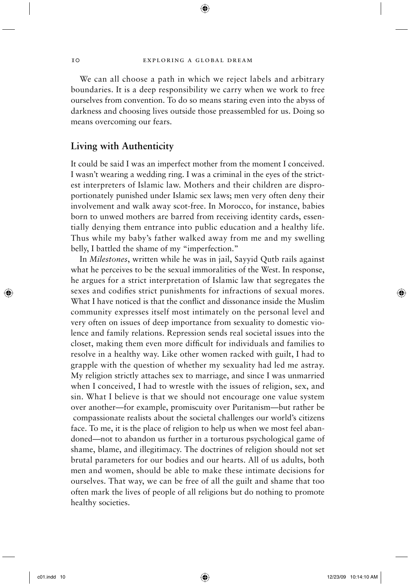We can all choose a path in which we reject labels and arbitrary boundaries. It is a deep responsibility we carry when we work to free ourselves from convention. To do so means staring even into the abyss of darkness and choosing lives outside those preassembled for us. Doing so means overcoming our fears.

## **Living with Authenticity**

It could be said I was an imperfect mother from the moment I conceived. I wasn't wearing a wedding ring. I was a criminal in the eyes of the strictest interpreters of Islamic law. Mothers and their children are disproportionately punished under Islamic sex laws; men very often deny their involvement and walk away scot-free. In Morocco, for instance, babies born to unwed mothers are barred from receiving identity cards, essentially denying them entrance into public education and a healthy life. Thus while my baby's father walked away from me and my swelling belly, I battled the shame of my "imperfection."

In *Milestones*, written while he was in jail, Sayyid Qutb rails against what he perceives to be the sexual immoralities of the West. In response, he argues for a strict interpretation of Islamic law that segregates the sexes and codifies strict punishments for infractions of sexual mores. What I have noticed is that the conflict and dissonance inside the Muslim community expresses itself most intimately on the personal level and very often on issues of deep importance from sexuality to domestic violence and family relations. Repression sends real societal issues into the closet, making them even more difficult for individuals and families to resolve in a healthy way. Like other women racked with guilt, I had to grapple with the question of whether my sexuality had led me astray. My religion strictly attaches sex to marriage, and since I was unmarried when I conceived, I had to wrestle with the issues of religion, sex, and sin. What I believe is that we should not encourage one value system over another—for example, promiscuity over Puritanism—but rather be compassionate realists about the societal challenges our world's citizens face. To me, it is the place of religion to help us when we most feel abandoned—not to abandon us further in a torturous psychological game of shame, blame, and illegitimacy. The doctrines of religion should not set brutal parameters for our bodies and our hearts. All of us adults, both men and women, should be able to make these intimate decisions for ourselves. That way, we can be free of all the guilt and shame that too often mark the lives of people of all religions but do nothing to promote healthy societies.

↔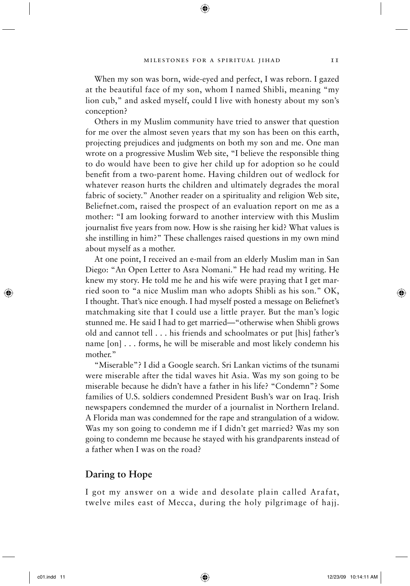When my son was born, wide-eyed and perfect, I was reborn. I gazed at the beautiful face of my son, whom I named Shibli, meaning "my lion cub," and asked myself, could I live with honesty about my son's conception?

Others in my Muslim community have tried to answer that question for me over the almost seven years that my son has been on this earth, projecting prejudices and judgments on both my son and me. One man wrote on a progressive Muslim Web site, "I believe the responsible thing to do would have been to give her child up for adoption so he could benefit from a two-parent home. Having children out of wedlock for whatever reason hurts the children and ultimately degrades the moral fabric of society." Another reader on a spirituality and religion Web site, Beliefnet.com, raised the prospect of an evaluation report on me as a mother: "I am looking forward to another interview with this Muslim journalist five years from now. How is she raising her kid? What values is she instilling in him?" These challenges raised questions in my own mind about myself as a mother.

At one point, I received an e-mail from an elderly Muslim man in San Diego: "An Open Letter to Asra Nomani." He had read my writing. He knew my story. He told me he and his wife were praying that I get married soon to "a nice Muslim man who adopts Shibli as his son." OK, I thought. That's nice enough. I had myself posted a message on Beliefnet's matchmaking site that I could use a little prayer. But the man's logic stunned me. He said I had to get married—"otherwise when Shibli grows old and cannot tell . . . his friends and schoolmates or put [his] father's name [on] . . . forms, he will be miserable and most likely condemn his mother."

"Miserable"? I did a Google search. Sri Lankan victims of the tsunami were miserable after the tidal waves hit Asia. Was my son going to be miserable because he didn't have a father in his life? "Condemn"? Some families of U.S. soldiers condemned President Bush's war on Iraq. Irish newspapers condemned the murder of a journalist in Northern Ireland. A Florida man was condemned for the rape and strangulation of a widow. Was my son going to condemn me if I didn't get married? Was my son going to condemn me because he stayed with his grandparents instead of a father when I was on the road?

## **Daring to Hope**

I got my answer on a wide and desolate plain called Arafat, twelve miles east of Mecca, during the holy pilgrimage of hajj.

↔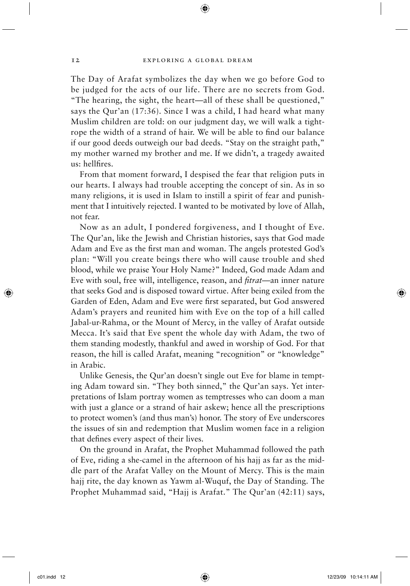The Day of Arafat symbolizes the day when we go before God to be judged for the acts of our life. There are no secrets from God. "The hearing, the sight, the heart—all of these shall be questioned," says the Qur'an (17:36). Since I was a child, I had heard what many Muslim children are told: on our judgment day, we will walk a tightrope the width of a strand of hair. We will be able to find our balance if our good deeds outweigh our bad deeds. "Stay on the straight path," my mother warned my brother and me. If we didn't, a tragedy awaited us: hellfires.

From that moment forward, I despised the fear that religion puts in our hearts. I always had trouble accepting the concept of sin. As in so many religions, it is used in Islam to instill a spirit of fear and punishment that I intuitively rejected. I wanted to be motivated by love of Allah, not fear.

Now as an adult, I pondered forgiveness, and I thought of Eve. The Qur'an, like the Jewish and Christian histories, says that God made Adam and Eve as the first man and woman. The angels protested God's plan: "Will you create beings there who will cause trouble and shed blood, while we praise Your Holy Name?" Indeed, God made Adam and Eve with soul, free will, intelligence, reason, and *fitrat*—an inner nature that seeks God and is disposed toward virtue. After being exiled from the Garden of Eden, Adam and Eve were first separated, but God answered Adam's prayers and reunited him with Eve on the top of a hill called Jabal-ur-Rahma, or the Mount of Mercy, in the valley of Arafat outside Mecca. It's said that Eve spent the whole day with Adam, the two of them standing modestly, thankful and awed in worship of God. For that reason, the hill is called Arafat, meaning "recognition" or "knowledge" in Arabic.

Unlike Genesis, the Qur'an doesn't single out Eve for blame in tempting Adam toward sin. "They both sinned," the Qur'an says. Yet interpretations of Islam portray women as temptresses who can doom a man with just a glance or a strand of hair askew; hence all the prescriptions to protect women's (and thus man's) honor. The story of Eve underscores the issues of sin and redemption that Muslim women face in a religion that defines every aspect of their lives.

On the ground in Arafat, the Prophet Muhammad followed the path of Eve, riding a she-camel in the afternoon of his hajj as far as the middle part of the Arafat Valley on the Mount of Mercy. This is the main hajj rite, the day known as Yawm al-Wuquf, the Day of Standing. The Prophet Muhammad said, "Hajj is Arafat." The Qur'an (42:11) says,

⊕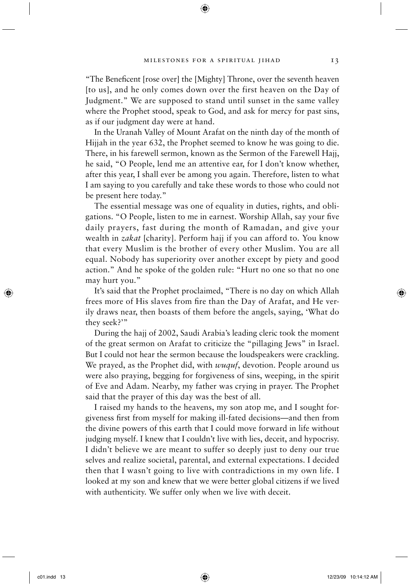"The Beneficent [rose over] the [Mighty] Throne, over the seventh heaven [to us], and he only comes down over the first heaven on the Day of Judgment." We are supposed to stand until sunset in the same valley where the Prophet stood, speak to God, and ask for mercy for past sins, as if our judgment day were at hand.

In the Uranah Valley of Mount Arafat on the ninth day of the month of Hijjah in the year 632, the Prophet seemed to know he was going to die. There, in his farewell sermon, known as the Sermon of the Farewell Hajj, he said, "O People, lend me an attentive ear, for I don't know whether, after this year, I shall ever be among you again. Therefore, listen to what I am saying to you carefully and take these words to those who could not be present here today."

The essential message was one of equality in duties, rights, and obligations. "O People, listen to me in earnest. Worship Allah, say your five daily prayers, fast during the month of Ramadan, and give your wealth in *zakat* [charity]. Perform hajj if you can afford to. You know that every Muslim is the brother of every other Muslim. You are all equal. Nobody has superiority over another except by piety and good action." And he spoke of the golden rule: "Hurt no one so that no one may hurt you."

It's said that the Prophet proclaimed, "There is no day on which Allah frees more of His slaves from fire than the Day of Arafat, and He verily draws near, then boasts of them before the angels, saying, 'What do they seek?'"

During the hajj of 2002, Saudi Arabia's leading cleric took the moment of the great sermon on Arafat to criticize the "pillaging Jews" in Israel. But I could not hear the sermon because the loudspeakers were crackling. We prayed, as the Prophet did, with *wuquf*, devotion. People around us were also praying, begging for forgiveness of sins, weeping, in the spirit of Eve and Adam. Nearby, my father was crying in prayer. The Prophet said that the prayer of this day was the best of all.

I raised my hands to the heavens, my son atop me, and I sought forgiveness first from myself for making ill-fated decisions—and then from the divine powers of this earth that I could move forward in life without judging myself. I knew that I couldn't live with lies, deceit, and hypocrisy. I didn't believe we are meant to suffer so deeply just to deny our true selves and realize societal, parental, and external expectations. I decided then that I wasn't going to live with contradictions in my own life. I looked at my son and knew that we were better global citizens if we lived with authenticity. We suffer only when we live with deceit.

⊕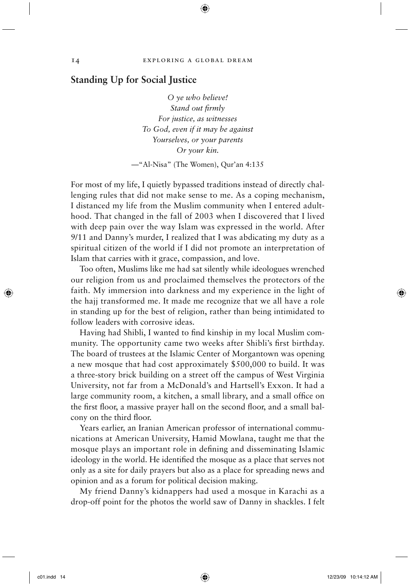## **Standing Up for Social Justice**

*O ye who believe! Stand out firmly For justice, as witnesses To God, even if it may be against Yourselves, or your parents Or your kin.*

—"Al-Nisa" (The Women), Qur'an 4:135

For most of my life, I quietly bypassed traditions instead of directly challenging rules that did not make sense to me. As a coping mechanism, I distanced my life from the Muslim community when I entered adulthood. That changed in the fall of 2003 when I discovered that I lived with deep pain over the way Islam was expressed in the world. After 9/11 and Danny's murder, I realized that I was abdicating my duty as a spiritual citizen of the world if I did not promote an interpretation of Islam that carries with it grace, compassion, and love.

Too often, Muslims like me had sat silently while ideologues wrenched our religion from us and proclaimed themselves the protectors of the faith. My immersion into darkness and my experience in the light of the hajj transformed me. It made me recognize that we all have a role in standing up for the best of religion, rather than being intimidated to follow leaders with corrosive ideas.

Having had Shibli, I wanted to find kinship in my local Muslim community. The opportunity came two weeks after Shibli's first birthday. The board of trustees at the Islamic Center of Morgantown was opening a new mosque that had cost approximately \$500,000 to build. It was a three-story brick building on a street off the campus of West Virginia University, not far from a McDonald's and Hartsell's Exxon. It had a large community room, a kitchen, a small library, and a small office on the first floor, a massive prayer hall on the second floor, and a small balcony on the third floor.

Years earlier, an Iranian American professor of international communications at American University, Hamid Mowlana, taught me that the mosque plays an important role in defining and disseminating Islamic ideology in the world. He identified the mosque as a place that serves not only as a site for daily prayers but also as a place for spreading news and opinion and as a forum for political decision making.

My friend Danny's kidnappers had used a mosque in Karachi as a drop-off point for the photos the world saw of Danny in shackles. I felt

↔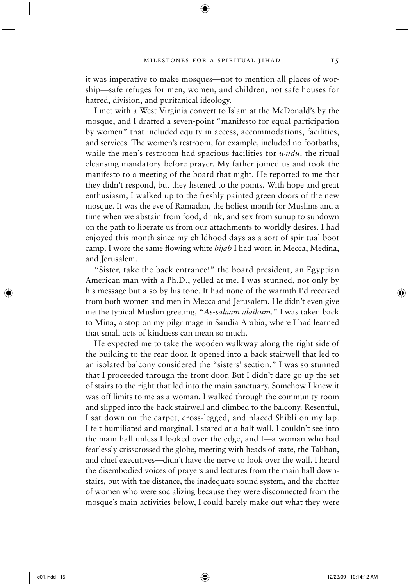it was imperative to make mosques—not to mention all places of worship—safe refuges for men, women, and children, not safe houses for hatred, division, and puritanical ideology.

I met with a West Virginia convert to Islam at the McDonald's by the mosque, and I drafted a seven-point "manifesto for equal participation by women" that included equity in access, accommodations, facilities, and services. The women's restroom, for example, included no footbaths, while the men's restroom had spacious facilities for *wudu,* the ritual cleansing mandatory before prayer. My father joined us and took the manifesto to a meeting of the board that night. He reported to me that they didn't respond, but they listened to the points. With hope and great enthusiasm, I walked up to the freshly painted green doors of the new mosque. It was the eve of Ramadan, the holiest month for Muslims and a time when we abstain from food, drink, and sex from sunup to sundown on the path to liberate us from our attachments to worldly desires. I had enjoyed this month since my childhood days as a sort of spiritual boot camp. I wore the same flowing white *hijab* I had worn in Mecca, Medina, and Jerusalem.

"Sister, take the back entrance!" the board president, an Egyptian American man with a Ph.D., yelled at me. I was stunned, not only by his message but also by his tone. It had none of the warmth I'd received from both women and men in Mecca and Jerusalem. He didn't even give me the typical Muslim greeting, "*As-salaam alaikum.*" I was taken back to Mina, a stop on my pilgrimage in Saudia Arabia, where I had learned that small acts of kindness can mean so much.

He expected me to take the wooden walkway along the right side of the building to the rear door. It opened into a back stairwell that led to an isolated balcony considered the "sisters' section." I was so stunned that I proceeded through the front door. But I didn't dare go up the set of stairs to the right that led into the main sanctuary. Somehow I knew it was off limits to me as a woman. I walked through the community room and slipped into the back stairwell and climbed to the balcony. Resentful, I sat down on the carpet, cross-legged, and placed Shibli on my lap. I felt humiliated and marginal. I stared at a half wall. I couldn't see into the main hall unless I looked over the edge, and I—a woman who had fearlessly crisscrossed the globe, meeting with heads of state, the Taliban, and chief executives—didn't have the nerve to look over the wall. I heard the disembodied voices of prayers and lectures from the main hall downstairs, but with the distance, the inadequate sound system, and the chatter of women who were socializing because they were disconnected from the mosque's main activities below, I could barely make out what they were

↔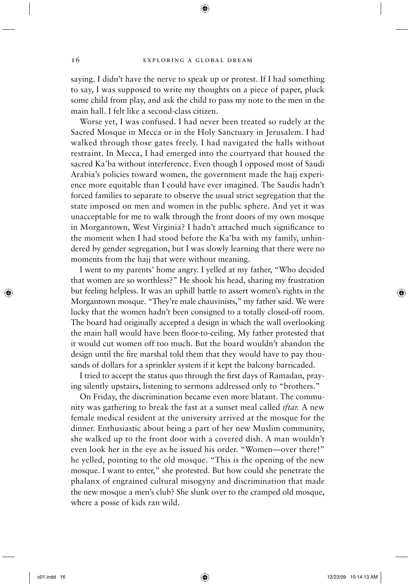saying. I didn't have the nerve to speak up or protest. If I had something to say, I was supposed to write my thoughts on a piece of paper, pluck some child from play, and ask the child to pass my note to the men in the main hall. I felt like a second-class citizen.

Worse yet, I was confused. I had never been treated so rudely at the Sacred Mosque in Mecca or in the Holy Sanctuary in Jerusalem. I had walked through those gates freely. I had navigated the halls without restraint. In Mecca, I had emerged into the courtyard that housed the sacred Ka'ba without interference. Even though I opposed most of Saudi Arabia's policies toward women, the government made the hajj experience more equitable than I could have ever imagined. The Saudis hadn't forced families to separate to observe the usual strict segregation that the state imposed on men and women in the public sphere. And yet it was unacceptable for me to walk through the front doors of my own mosque in Morgantown, West Virginia? I hadn't attached much significance to the moment when I had stood before the Ka'ba with my family, unhindered by gender segregation, but I was slowly learning that there were no moments from the hajj that were without meaning.

I went to my parents' home angry. I yelled at my father, "Who decided that women are so worthless?" He shook his head, sharing my frustration but feeling helpless. It was an uphill battle to assert women's rights in the Morgantown mosque. "They're male chauvinists," my father said. We were lucky that the women hadn't been consigned to a totally closed-off room. The board had originally accepted a design in which the wall overlooking the main hall would have been floor-to-ceiling. My father protested that it would cut women off too much. But the board wouldn't abandon the design until the fire marshal told them that they would have to pay thousands of dollars for a sprinkler system if it kept the balcony barricaded.

I tried to accept the status quo through the first days of Ramadan, praying silently upstairs, listening to sermons addressed only to "brothers."

On Friday, the discrimination became even more blatant. The community was gathering to break the fast at a sunset meal called *iftar.* A new female medical resident at the university arrived at the mosque for the dinner. Enthusiastic about being a part of her new Muslim community, she walked up to the front door with a covered dish. A man wouldn't even look her in the eye as he issued his order. "Women—over there!" he yelled, pointing to the old mosque. "This is the opening of the new mosque. I want to enter," she protested. But how could she penetrate the phalanx of engrained cultural misogyny and discrimination that made the new mosque a men's club? She slunk over to the cramped old mosque, where a posse of kids ran wild.

⊕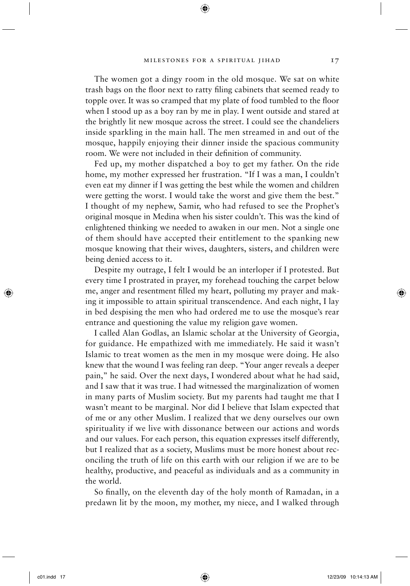#### milestones for a spiritual jihad 17

⊕

The women got a dingy room in the old mosque. We sat on white trash bags on the floor next to ratty filing cabinets that seemed ready to topple over. It was so cramped that my plate of food tumbled to the floor when I stood up as a boy ran by me in play. I went outside and stared at the brightly lit new mosque across the street. I could see the chandeliers inside sparkling in the main hall. The men streamed in and out of the mosque, happily enjoying their dinner inside the spacious community room. We were not included in their definition of community.

Fed up, my mother dispatched a boy to get my father. On the ride home, my mother expressed her frustration. "If I was a man, I couldn't even eat my dinner if I was getting the best while the women and children were getting the worst. I would take the worst and give them the best." I thought of my nephew, Samir, who had refused to see the Prophet's original mosque in Medina when his sister couldn't. This was the kind of enlightened thinking we needed to awaken in our men. Not a single one of them should have accepted their entitlement to the spanking new mosque knowing that their wives, daughters, sisters, and children were being denied access to it.

Despite my outrage, I felt I would be an interloper if I protested. But every time I prostrated in prayer, my forehead touching the carpet below me, anger and resentment filled my heart, polluting my prayer and making it impossible to attain spiritual transcendence. And each night, I lay in bed despising the men who had ordered me to use the mosque's rear entrance and questioning the value my religion gave women.

I called Alan Godlas, an Islamic scholar at the University of Georgia, for guidance. He empathized with me immediately. He said it wasn't Islamic to treat women as the men in my mosque were doing. He also knew that the wound I was feeling ran deep. "Your anger reveals a deeper pain," he said. Over the next days, I wondered about what he had said, and I saw that it was true. I had witnessed the marginalization of women in many parts of Muslim society. But my parents had taught me that I wasn't meant to be marginal. Nor did I believe that Islam expected that of me or any other Muslim. I realized that we deny ourselves our own spirituality if we live with dissonance between our actions and words and our values. For each person, this equation expresses itself differently, but I realized that as a society, Muslims must be more honest about reconciling the truth of life on this earth with our religion if we are to be healthy, productive, and peaceful as individuals and as a community in the world.

So finally, on the eleventh day of the holy month of Ramadan, in a predawn lit by the moon, my mother, my niece, and I walked through

↔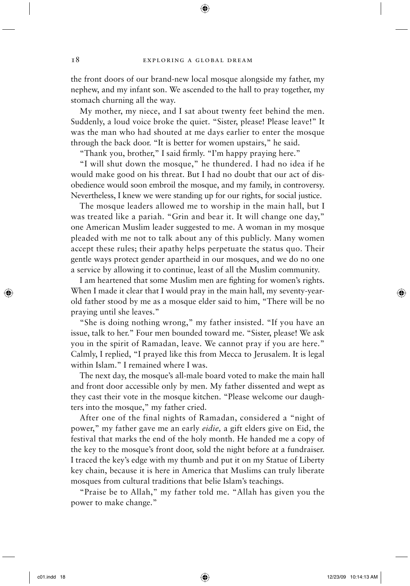the front doors of our brand-new local mosque alongside my father, my nephew, and my infant son. We ascended to the hall to pray together, my stomach churning all the way.

My mother, my niece, and I sat about twenty feet behind the men. Suddenly, a loud voice broke the quiet. "Sister, please! Please leave!" It was the man who had shouted at me days earlier to enter the mosque through the back door. "It is better for women upstairs," he said.

"Thank you, brother," I said firmly. "I'm happy praying here."

"I will shut down the mosque," he thundered. I had no idea if he would make good on his threat. But I had no doubt that our act of disobedience would soon embroil the mosque, and my family, in controversy. Nevertheless, I knew we were standing up for our rights, for social justice.

The mosque leaders allowed me to worship in the main hall, but I was treated like a pariah. "Grin and bear it. It will change one day," one American Muslim leader suggested to me. A woman in my mosque pleaded with me not to talk about any of this publicly. Many women accept these rules; their apathy helps perpetuate the status quo. Their gentle ways protect gender apartheid in our mosques, and we do no one a service by allowing it to continue, least of all the Muslim community.

I am heartened that some Muslim men are fighting for women's rights. When I made it clear that I would pray in the main hall, my seventy-yearold father stood by me as a mosque elder said to him, "There will be no praying until she leaves."

"She is doing nothing wrong," my father insisted. "If you have an issue, talk to her." Four men bounded toward me. "Sister, please! We ask you in the spirit of Ramadan, leave. We cannot pray if you are here." Calmly, I replied, "I prayed like this from Mecca to Jerusalem. It is legal within Islam." I remained where I was.

The next day, the mosque's all-male board voted to make the main hall and front door accessible only by men. My father dissented and wept as they cast their vote in the mosque kitchen. "Please welcome our daughters into the mosque," my father cried.

After one of the final nights of Ramadan, considered a "night of power," my father gave me an early *eidie,* a gift elders give on Eid, the festival that marks the end of the holy month. He handed me a copy of the key to the mosque's front door, sold the night before at a fundraiser. I traced the key's edge with my thumb and put it on my Statue of Liberty key chain, because it is here in America that Muslims can truly liberate mosques from cultural traditions that belie Islam's teachings.

"Praise be to Allah," my father told me. "Allah has given you the power to make change."

⊕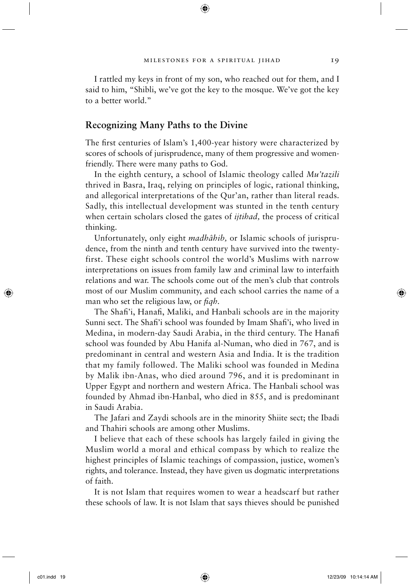I rattled my keys in front of my son, who reached out for them, and I said to him, "Shibli, we've got the key to the mosque. We've got the key to a better world."

### **Recognizing Many Paths to the Divine**

The first centuries of Islam's 1,400-year history were characterized by scores of schools of jurisprudence, many of them progressive and womenfriendly. There were many paths to God.

In the eighth century, a school of Islamic theology called *Mu'tazili*  thrived in Basra, Iraq, relying on principles of logic, rational thinking, and allegorical interpretations of the Qur'an, rather than literal reads. Sadly, this intellectual development was stunted in the tenth century when certain scholars closed the gates of *ijtihad,* the process of critical thinking.

Unfortunately, only eight *madhâhib,* or Islamic schools of jurisprudence, from the ninth and tenth century have survived into the twentyfirst. These eight schools control the world's Muslims with narrow interpretations on issues from family law and criminal law to interfaith relations and war. The schools come out of the men's club that controls most of our Muslim community, and each school carries the name of a man who set the religious law, or *figh*.

The Shafi'i, Hanafi, Maliki, and Hanbali schools are in the majority Sunni sect. The Shafi'i school was founded by Imam Shafi'i, who lived in Medina, in modern-day Saudi Arabia, in the third century. The Hanafi school was founded by Abu Hanifa al-Numan, who died in 767, and is predominant in central and western Asia and India. It is the tradition that my family followed. The Maliki school was founded in Medina by Malik ibn-Anas, who died around 796, and it is predominant in Upper Egypt and northern and western Africa. The Hanbali school was founded by Ahmad ibn-Hanbal, who died in 855, and is predominant in Saudi Arabia.

The Jafari and Zaydi schools are in the minority Shiite sect; the Ibadi and Thahiri schools are among other Muslims.

I believe that each of these schools has largely failed in giving the Muslim world a moral and ethical compass by which to realize the highest principles of Islamic teachings of compassion, justice, women's rights, and tolerance. Instead, they have given us dogmatic interpretations of faith.

It is not Islam that requires women to wear a headscarf but rather these schools of law. It is not Islam that says thieves should be punished

⇔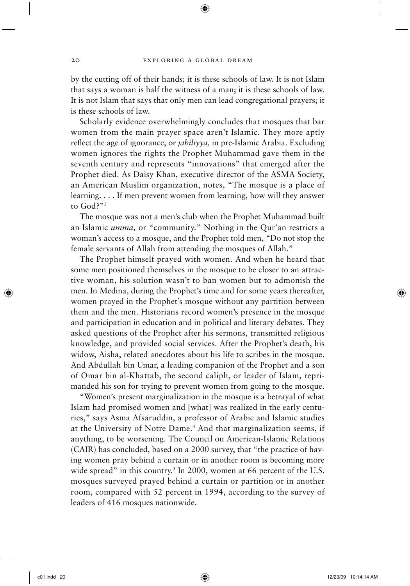by the cutting off of their hands; it is these schools of law. It is not Islam that says a woman is half the witness of a man; it is these schools of law. It is not Islam that says that only men can lead congregational prayers; it is these schools of law.

Scholarly evidence overwhelmingly concludes that mosques that bar women from the main prayer space aren't Islamic. They more aptly reflect the age of ignorance, or *jahiliyya*, in pre-Islamic Arabia. Excluding women ignores the rights the Prophet Muhammad gave them in the seventh century and represents "innovations" that emerged after the Prophet died. As Daisy Khan, executive director of the ASMA Society, an American Muslim organization, notes, "The mosque is a place of learning. . . . If men prevent women from learning, how will they answer to God?"3

The mosque was not a men's club when the Prophet Muhammad built an Islamic *umma,* or "community." Nothing in the Qur'an restricts a woman's access to a mosque, and the Prophet told men, "Do not stop the female servants of Allah from attending the mosques of Allah."

The Prophet himself prayed with women. And when he heard that some men positioned themselves in the mosque to be closer to an attractive woman, his solution wasn't to ban women but to admonish the men. In Medina, during the Prophet's time and for some years thereafter, women prayed in the Prophet's mosque without any partition between them and the men. Historians record women's presence in the mosque and participation in education and in political and literary debates. They asked questions of the Prophet after his sermons, transmitted religious knowledge, and provided social services. After the Prophet's death, his widow, Aisha, related anecdotes about his life to scribes in the mosque. And Abdullah bin Umar, a leading companion of the Prophet and a son of Omar bin al-Khattab, the second caliph, or leader of Islam, reprimanded his son for trying to prevent women from going to the mosque.

"Women's present marginalization in the mosque is a betrayal of what Islam had promised women and [what] was realized in the early centuries," says Asma Afsaruddin, a professor of Arabic and Islamic studies at the University of Notre Dame.<sup>4</sup> And that marginalization seems, if anything, to be worsening. The Council on American-Islamic Relations (CAIR) has concluded, based on a 2000 survey, that "the practice of having women pray behind a curtain or in another room is becoming more wide spread" in this country.<sup>5</sup> In 2000, women at 66 percent of the U.S. mosques surveyed prayed behind a curtain or partition or in another room, compared with 52 percent in 1994, according to the survey of leaders of 416 mosques nationwide.

⊕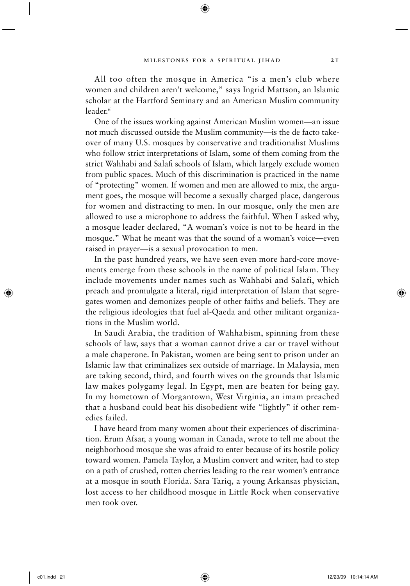All too often the mosque in America "is a men's club where women and children aren't welcome," says Ingrid Mattson, an Islamic scholar at the Hartford Seminary and an American Muslim community leader.6

One of the issues working against American Muslim women—an issue not much discussed outside the Muslim community—is the de facto takeover of many U.S. mosques by conservative and traditionalist Muslims who follow strict interpretations of Islam, some of them coming from the strict Wahhabi and Salafi schools of Islam, which largely exclude women from public spaces. Much of this discrimination is practiced in the name of "protecting" women. If women and men are allowed to mix, the argument goes, the mosque will become a sexually charged place, dangerous for women and distracting to men. In our mosque, only the men are allowed to use a microphone to address the faithful. When I asked why, a mosque leader declared, "A woman's voice is not to be heard in the mosque." What he meant was that the sound of a woman's voice—even raised in prayer—is a sexual provocation to men.

In the past hundred years, we have seen even more hard-core movements emerge from these schools in the name of political Islam. They include movements under names such as Wahhabi and Salafi, which preach and promulgate a literal, rigid interpretation of Islam that segregates women and demonizes people of other faiths and beliefs. They are the religious ideologies that fuel al-Qaeda and other militant organizations in the Muslim world.

In Saudi Arabia, the tradition of Wahhabism, spinning from these schools of law, says that a woman cannot drive a car or travel without a male chaperone. In Pakistan, women are being sent to prison under an Islamic law that criminalizes sex outside of marriage. In Malaysia, men are taking second, third, and fourth wives on the grounds that Islamic law makes polygamy legal. In Egypt, men are beaten for being gay. In my hometown of Morgantown, West Virginia, an imam preached that a husband could beat his disobedient wife "lightly" if other remedies failed.

I have heard from many women about their experiences of discrimination. Erum Afsar, a young woman in Canada, wrote to tell me about the neighborhood mosque she was afraid to enter because of its hostile policy toward women. Pamela Taylor, a Muslim convert and writer, had to step on a path of crushed, rotten cherries leading to the rear women's entrance at a mosque in south Florida. Sara Tariq, a young Arkansas physician, lost access to her childhood mosque in Little Rock when conservative men took over.

⇔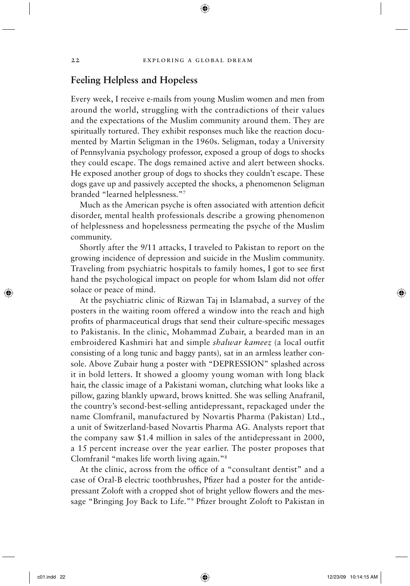## **Feeling Helpless and Hopeless**

Every week, I receive e-mails from young Muslim women and men from around the world, struggling with the contradictions of their values and the expectations of the Muslim community around them. They are spiritually tortured. They exhibit responses much like the reaction documented by Martin Seligman in the 1960s. Seligman, today a University of Pennsylvania psychology professor, exposed a group of dogs to shocks they could escape. The dogs remained active and alert between shocks. He exposed another group of dogs to shocks they couldn't escape. These dogs gave up and passively accepted the shocks, a phenomenon Seligman branded "learned helplessness."7

Much as the American psyche is often associated with attention deficit disorder, mental health professionals describe a growing phenomenon of helplessness and hopelessness permeating the psyche of the Muslim community.

Shortly after the 9/11 attacks, I traveled to Pakistan to report on the growing incidence of depression and suicide in the Muslim community. Traveling from psychiatric hospitals to family homes, I got to see first hand the psychological impact on people for whom Islam did not offer solace or peace of mind.

At the psychiatric clinic of Rizwan Taj in Islamabad, a survey of the posters in the waiting room offered a window into the reach and high profits of pharmaceutical drugs that send their culture-specific messages to Pakistanis. In the clinic, Mohammad Zubair, a bearded man in an embroidered Kashmiri hat and simple *shalwar kameez* (a local outfit consisting of a long tunic and baggy pants)*,* sat in an armless leather console. Above Zubair hung a poster with "DEPRESSION" splashed across it in bold letters. It showed a gloomy young woman with long black hair, the classic image of a Pakistani woman, clutching what looks like a pillow, gazing blankly upward, brows knitted. She was selling Anafranil, the country's second-best-selling antidepressant, repackaged under the name Clomfranil, manufactured by Novartis Pharma (Pakistan) Ltd., a unit of Switzerland-based Novartis Pharma AG. Analysts report that the company saw \$1.4 million in sales of the antidepressant in 2000, a 15 percent increase over the year earlier. The poster proposes that Clomfranil "makes life worth living again."8

At the clinic, across from the office of a "consultant dentist" and a case of Oral-B electric toothbrushes, Pfizer had a poster for the antidepressant Zoloft with a cropped shot of bright yellow flowers and the message "Bringing Joy Back to Life."<sup>9</sup> Pfizer brought Zoloft to Pakistan in

⊕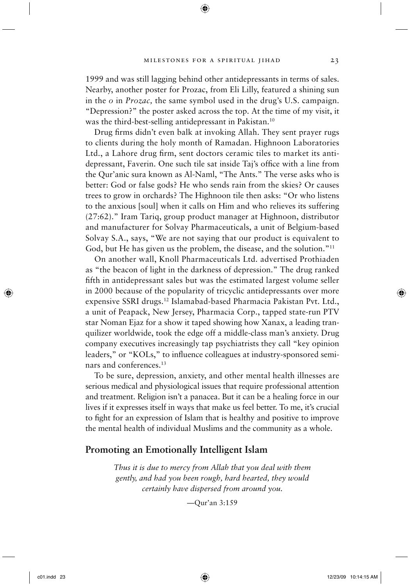1999 and was still lagging behind other antidepressants in terms of sales. Nearby, another poster for Prozac, from Eli Lilly, featured a shining sun in the *o* in *Prozac,* the same symbol used in the drug's U.S. campaign. "Depression?" the poster asked across the top. At the time of my visit, it was the third-best-selling antidepressant in Pakistan.<sup>10</sup>

Drug firms didn't even balk at invoking Allah. They sent prayer rugs to clients during the holy month of Ramadan. Highnoon Laboratories Ltd., a Lahore drug firm, sent doctors ceramic tiles to market its antidepressant, Faverin. One such tile sat inside Taj's office with a line from the Qur'anic sura known as Al-Naml, "The Ants." The verse asks who is better: God or false gods? He who sends rain from the skies? Or causes trees to grow in orchards? The Highnoon tile then asks: "Or who listens to the anxious [soul] when it calls on Him and who relieves its suffering (27:62)." Iram Tariq, group product manager at Highnoon, distributor and manufacturer for Solvay Pharmaceuticals, a unit of Belgium-based Solvay S.A., says, "We are not saying that our product is equivalent to God, but He has given us the problem, the disease, and the solution."<sup>11</sup>

On another wall, Knoll Pharmaceuticals Ltd. advertised Prothiaden as "the beacon of light in the darkness of depression." The drug ranked fifth in antidepressant sales but was the estimated largest volume seller in 2000 because of the popularity of tricyclic antidepressants over more expensive SSRI drugs.12 Islamabad-based Pharmacia Pakistan Pvt. Ltd., a unit of Peapack, New Jersey, Pharmacia Corp., tapped state-run PTV star Noman Ejaz for a show it taped showing how Xanax, a leading tranquilizer worldwide, took the edge off a middle-class man's anxiety. Drug company executives increasingly tap psychiatrists they call "key opinion leaders," or "KOLs," to influence colleagues at industry-sponsored seminars and conferences.13

To be sure, depression, anxiety, and other mental health illnesses are serious medical and physiological issues that require professional attention and treatment. Religion isn't a panacea. But it can be a healing force in our lives if it expresses itself in ways that make us feel better. To me, it's crucial to fight for an expression of Islam that is healthy and positive to improve the mental health of individual Muslims and the community as a whole.

## **Promoting an Emotionally Intelligent Islam**

*Thus it is due to mercy from Allah that you deal with them gently, and had you been rough, hard hearted, they would certainly have dispersed from around you.*

—Qur'an 3:159

⊕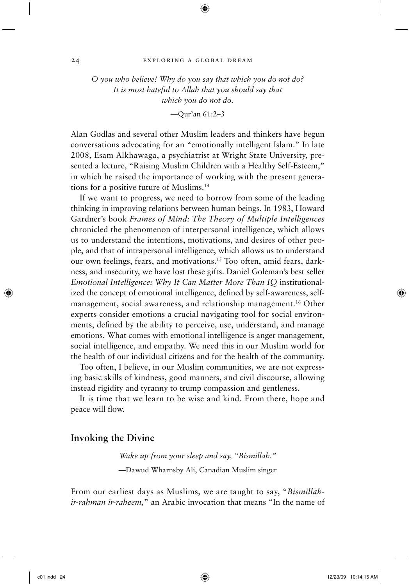#### 24 EXPLORING A GLOBAL DREAM

⊕

*O you who believe! Why do you say that which you do not do? It is most hateful to Allah that you should say that which you do not do.*

—Qur'an 61:2–3

Alan Godlas and several other Muslim leaders and thinkers have begun conversations advocating for an "emotionally intelligent Islam." In late 2008, Esam Alkhawaga, a psychiatrist at Wright State University, presented a lecture, "Raising Muslim Children with a Healthy Self-Esteem," in which he raised the importance of working with the present generations for a positive future of Muslims.14

If we want to progress, we need to borrow from some of the leading thinking in improving relations between human beings. In 1983, Howard Gardner's book *Frames of Mind: The Theory of Multiple Intelligences* chronicled the phenomenon of interpersonal intelligence, which allows us to understand the intentions, motivations, and desires of other people, and that of intrapersonal intelligence, which allows us to understand our own feelings, fears, and motivations.15 Too often, amid fears, darkness, and insecurity, we have lost these gifts. Daniel Goleman's best seller *Emotional Intelligence: Why It Can Matter More Than IQ* institutionalized the concept of emotional intelligence, defined by self-awareness, selfmanagement, social awareness, and relationship management.<sup>16</sup> Other experts consider emotions a crucial navigating tool for social environments, defined by the ability to perceive, use, understand, and manage emotions. What comes with emotional intelligence is anger management, social intelligence, and empathy. We need this in our Muslim world for the health of our individual citizens and for the health of the community.

Too often, I believe, in our Muslim communities, we are not expressing basic skills of kindness, good manners, and civil discourse, allowing instead rigidity and tyranny to trump compassion and gentleness.

It is time that we learn to be wise and kind. From there, hope and peace will flow.

### **Invoking the Divine**

*Wake up from your sleep and say, "Bismillah."* —Dawud Wharnsby Ali, Canadian Muslim singer

From our earliest days as Muslims, we are taught to say, "*Bismillahir-rahman ir-raheem,*" an Arabic invocation that means "In the name of

↔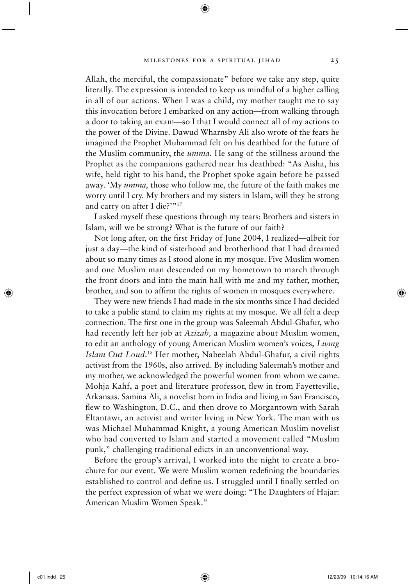#### milestones for a spiritual jihad 25

⊕

Allah, the merciful, the compassionate" before we take any step, quite literally. The expression is intended to keep us mindful of a higher calling in all of our actions. When I was a child, my mother taught me to say this invocation before I embarked on any action—from walking through a door to taking an exam—so I that I would connect all of my actions to the power of the Divine. Dawud Wharnsby Ali also wrote of the fears he imagined the Prophet Muhammad felt on his deathbed for the future of the Muslim community, the *umma.* He sang of the stillness around the Prophet as the companions gathered near his deathbed: "As Aisha, his wife, held tight to his hand, the Prophet spoke again before he passed away. 'My *umma,* those who follow me, the future of the faith makes me worry until I cry. My brothers and my sisters in Islam, will they be strong and carry on after I die?'"<sup>17</sup>

I asked myself these questions through my tears: Brothers and sisters in Islam, will we be strong? What is the future of our faith?

Not long after, on the first Friday of June 2004, I realized—albeit for just a day—the kind of sisterhood and brotherhood that I had dreamed about so many times as I stood alone in my mosque. Five Muslim women and one Muslim man descended on my hometown to march through the front doors and into the main hall with me and my father, mother, brother, and son to affirm the rights of women in mosques everywhere.

They were new friends I had made in the six months since I had decided to take a public stand to claim my rights at my mosque. We all felt a deep connection. The first one in the group was Saleemah Abdul-Ghafur, who had recently left her job at *Azizah,* a magazine about Muslim women, to edit an anthology of young American Muslim women's voices, *Living*  Islam Out Loud.<sup>18</sup> Her mother, Nabeelah Abdul-Ghafur, a civil rights activist from the 1960s, also arrived. By including Saleemah's mother and my mother, we acknowledged the powerful women from whom we came. Mohja Kahf, a poet and literature professor, flew in from Fayetteville, Arkansas. Samina Ali, a novelist born in India and living in San Francisco, flew to Washington, D.C., and then drove to Morgantown with Sarah Eltantawi, an activist and writer living in New York. The man with us was Michael Muhammad Knight, a young American Muslim novelist who had converted to Islam and started a movement called "Muslim punk," challenging traditional edicts in an unconventional way.

Before the group's arrival, I worked into the night to create a brochure for our event. We were Muslim women redefining the boundaries established to control and define us. I struggled until I finally settled on the perfect expression of what we were doing: "The Daughters of Hajar: American Muslim Women Speak."

⊕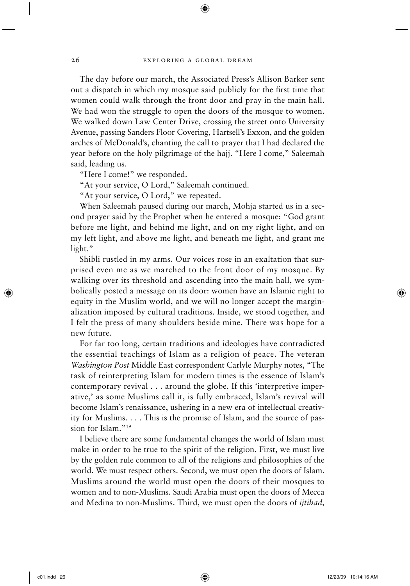#### 26 exploring a global dream

⊕

The day before our march, the Associated Press's Allison Barker sent out a dispatch in which my mosque said publicly for the first time that women could walk through the front door and pray in the main hall. We had won the struggle to open the doors of the mosque to women. We walked down Law Center Drive, crossing the street onto University Avenue, passing Sanders Floor Covering, Hartsell's Exxon, and the golden arches of McDonald's, chanting the call to prayer that I had declared the year before on the holy pilgrimage of the hajj. "Here I come," Saleemah said, leading us.

"Here I come!" we responded.

"At your service, O Lord," Saleemah continued.

"At your service, O Lord," we repeated.

When Saleemah paused during our march, Mohja started us in a second prayer said by the Prophet when he entered a mosque: "God grant before me light, and behind me light, and on my right light, and on my left light, and above me light, and beneath me light, and grant me light."

Shibli rustled in my arms. Our voices rose in an exaltation that surprised even me as we marched to the front door of my mosque. By walking over its threshold and ascending into the main hall, we symbolically posted a message on its door: women have an Islamic right to equity in the Muslim world, and we will no longer accept the marginalization imposed by cultural traditions. Inside, we stood together, and I felt the press of many shoulders beside mine. There was hope for a new future.

For far too long, certain traditions and ideologies have contradicted the essential teachings of Islam as a religion of peace. The veteran *Washington Post* Middle East correspondent Carlyle Murphy notes, "The task of reinterpreting Islam for modern times is the essence of Islam's contemporary revival . . . around the globe. If this 'interpretive imperative,' as some Muslims call it, is fully embraced, Islam's revival will become Islam's renaissance, ushering in a new era of intellectual creativity for Muslims. . . . This is the promise of Islam, and the source of passion for Islam."<sup>19</sup>

I believe there are some fundamental changes the world of Islam must make in order to be true to the spirit of the religion. First, we must live by the golden rule common to all of the religions and philosophies of the world. We must respect others. Second, we must open the doors of Islam. Muslims around the world must open the doors of their mosques to women and to non-Muslims. Saudi Arabia must open the doors of Mecca and Medina to non-Muslims. Third, we must open the doors of *ijtihad,*

⊕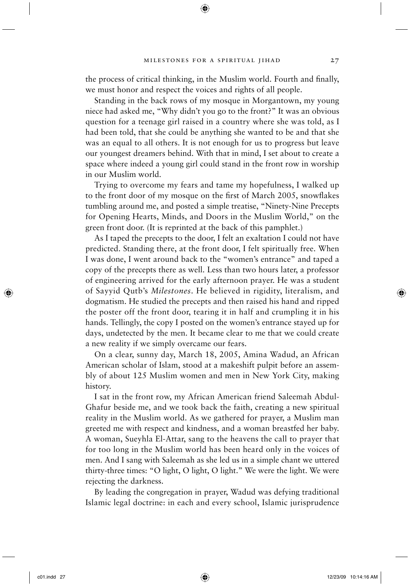the process of critical thinking, in the Muslim world. Fourth and finally, we must honor and respect the voices and rights of all people.

Standing in the back rows of my mosque in Morgantown, my young niece had asked me, "Why didn't you go to the front?" It was an obvious question for a teenage girl raised in a country where she was told, as I had been told, that she could be anything she wanted to be and that she was an equal to all others. It is not enough for us to progress but leave our youngest dreamers behind. With that in mind, I set about to create a space where indeed a young girl could stand in the front row in worship in our Muslim world.

Trying to overcome my fears and tame my hopefulness, I walked up to the front door of my mosque on the first of March 2005, snowflakes tumbling around me, and posted a simple treatise, "Ninety-Nine Precepts for Opening Hearts, Minds, and Doors in the Muslim World," on the green front door. (It is reprinted at the back of this pamphlet.)

As I taped the precepts to the door, I felt an exaltation I could not have predicted. Standing there, at the front door, I felt spiritually free. When I was done, I went around back to the "women's entrance" and taped a copy of the precepts there as well. Less than two hours later, a professor of engineering arrived for the early afternoon prayer. He was a student of Sayyid Qutb's *Milestones*. He believed in rigidity, literalism, and dogmatism. He studied the precepts and then raised his hand and ripped the poster off the front door, tearing it in half and crumpling it in his hands. Tellingly, the copy I posted on the women's entrance stayed up for days, undetected by the men. It became clear to me that we could create a new reality if we simply overcame our fears.

On a clear, sunny day, March 18, 2005, Amina Wadud, an African American scholar of Islam, stood at a makeshift pulpit before an assembly of about 125 Muslim women and men in New York City, making history.

I sat in the front row, my African American friend Saleemah Abdul-Ghafur beside me, and we took back the faith, creating a new spiritual reality in the Muslim world. As we gathered for prayer, a Muslim man greeted me with respect and kindness, and a woman breastfed her baby. A woman, Sueyhla El-Attar, sang to the heavens the call to prayer that for too long in the Muslim world has been heard only in the voices of men. And I sang with Saleemah as she led us in a simple chant we uttered thirty-three times: "O light, O light, O light." We were the light. We were rejecting the darkness.

By leading the congregation in prayer, Wadud was defying traditional Islamic legal doctrine: in each and every school, Islamic jurisprudence

↔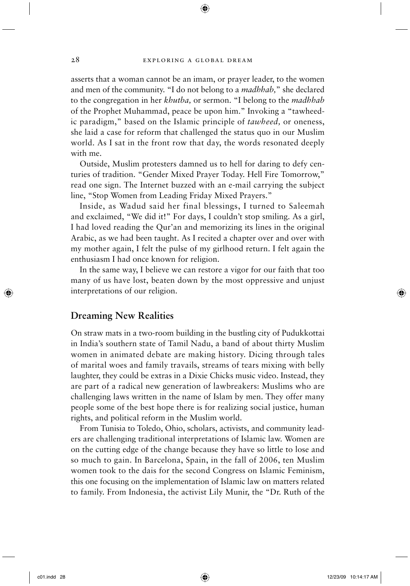asserts that a woman cannot be an imam, or prayer leader, to the women and men of the community. "I do not belong to a *madhhab,*" she declared to the congregation in her *khutba,* or sermon. "I belong to the *madhhab* of the Prophet Muhammad, peace be upon him." Invoking a "tawheedic paradigm," based on the Islamic principle of *tawheed,* or oneness, she laid a case for reform that challenged the status quo in our Muslim world. As I sat in the front row that day, the words resonated deeply with me.

Outside, Muslim protesters damned us to hell for daring to defy centuries of tradition. "Gender Mixed Prayer Today. Hell Fire Tomorrow," read one sign. The Internet buzzed with an e-mail carrying the subject line, "Stop Women from Leading Friday Mixed Prayers."

Inside, as Wadud said her final blessings, I turned to Saleemah and exclaimed, "We did it!" For days, I couldn't stop smiling. As a girl, I had loved reading the Qur'an and memorizing its lines in the original Arabic, as we had been taught. As I recited a chapter over and over with my mother again, I felt the pulse of my girlhood return. I felt again the enthusiasm I had once known for religion.

In the same way, I believe we can restore a vigor for our faith that too many of us have lost, beaten down by the most oppressive and unjust interpretations of our religion.

### **Dreaming New Realities**

On straw mats in a two-room building in the bustling city of Pudukkottai in India's southern state of Tamil Nadu, a band of about thirty Muslim women in animated debate are making history. Dicing through tales of marital woes and family travails, streams of tears mixing with belly laughter, they could be extras in a Dixie Chicks music video. Instead, they are part of a radical new generation of lawbreakers: Muslims who are challenging laws written in the name of Islam by men. They offer many people some of the best hope there is for realizing social justice, human rights, and political reform in the Muslim world.

From Tunisia to Toledo, Ohio, scholars, activists, and community leaders are challenging traditional interpretations of Islamic law. Women are on the cutting edge of the change because they have so little to lose and so much to gain. In Barcelona, Spain, in the fall of 2006, ten Muslim women took to the dais for the second Congress on Islamic Feminism, this one focusing on the implementation of Islamic law on matters related to family. From Indonesia, the activist Lily Munir, the "Dr. Ruth of the

⊕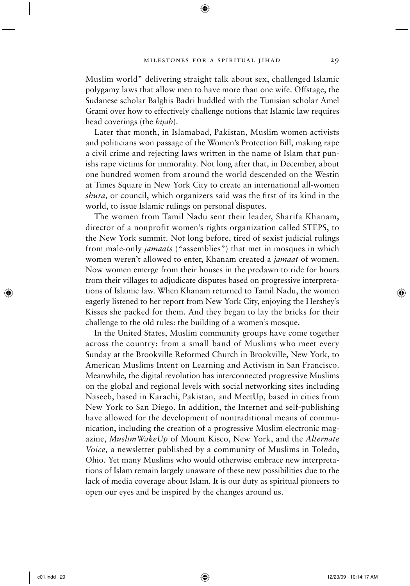Muslim world" delivering straight talk about sex, challenged Islamic polygamy laws that allow men to have more than one wife. Offstage, the Sudanese scholar Balghis Badri huddled with the Tunisian scholar Amel Grami over how to effectively challenge notions that Islamic law requires head coverings (the *hijab*).

Later that month, in Islamabad, Pakistan, Muslim women activists and politicians won passage of the Women's Protection Bill, making rape a civil crime and rejecting laws written in the name of Islam that punishs rape victims for immorality. Not long after that, in December, about one hundred women from around the world descended on the Westin at Times Square in New York City to create an international all-women *shura*, or council, which organizers said was the first of its kind in the world, to issue Islamic rulings on personal disputes.

The women from Tamil Nadu sent their leader, Sharifa Khanam, director of a nonprofit women's rights organization called STEPS, to the New York summit. Not long before, tired of sexist judicial rulings from male-only *jamaats* ("assemblies") that met in mosques in which women weren't allowed to enter, Khanam created a *jamaat* of women. Now women emerge from their houses in the predawn to ride for hours from their villages to adjudicate disputes based on progressive interpretations of Islamic law. When Khanam returned to Tamil Nadu, the women eagerly listened to her report from New York City, enjoying the Hershey's Kisses she packed for them. And they began to lay the bricks for their challenge to the old rules: the building of a women's mosque.

In the United States, Muslim community groups have come together across the country: from a small band of Muslims who meet every Sunday at the Brookville Reformed Church in Brookville, New York, to American Muslims Intent on Learning and Activism in San Francisco. Meanwhile, the digital revolution has interconnected progressive Muslims on the global and regional levels with social networking sites including Naseeb, based in Karachi, Pakistan, and MeetUp, based in cities from New York to San Diego. In addition, the Internet and self-publishing have allowed for the development of nontraditional means of communication, including the creation of a progressive Muslim electronic magazine, *MuslimWakeUp* of Mount Kisco, New York, and the *Alternate Voice,* a newsletter published by a community of Muslims in Toledo, Ohio. Yet many Muslims who would otherwise embrace new interpretations of Islam remain largely unaware of these new possibilities due to the lack of media coverage about Islam. It is our duty as spiritual pioneers to open our eyes and be inspired by the changes around us.

⊕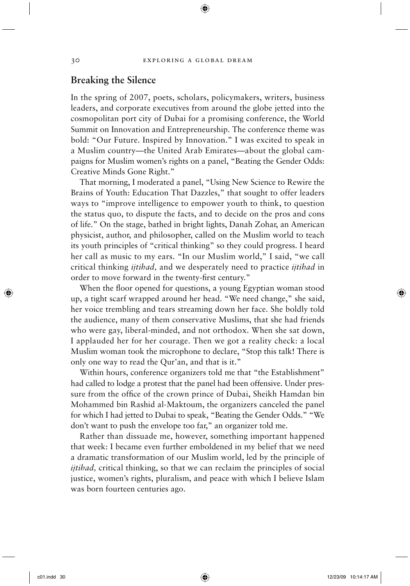## **Breaking the Silence**

In the spring of 2007, poets, scholars, policymakers, writers, business leaders, and corporate executives from around the globe jetted into the cosmopolitan port city of Dubai for a promising conference, the World Summit on Innovation and Entrepreneurship. The conference theme was bold: "Our Future. Inspired by Innovation." I was excited to speak in a Muslim country—the United Arab Emirates—about the global campaigns for Muslim women's rights on a panel, "Beating the Gender Odds: Creative Minds Gone Right."

That morning, I moderated a panel, "Using New Science to Rewire the Brains of Youth: Education That Dazzles," that sought to offer leaders ways to "improve intelligence to empower youth to think, to question the status quo, to dispute the facts, and to decide on the pros and cons of life." On the stage, bathed in bright lights, Danah Zohar, an American physicist, author, and philosopher, called on the Muslim world to teach its youth principles of "critical thinking" so they could progress. I heard her call as music to my ears. "In our Muslim world," I said, "we call critical thinking *ijtihad,* and we desperately need to practice *ijtihad* in order to move forward in the twenty-first century."

When the floor opened for questions, a young Egyptian woman stood up, a tight scarf wrapped around her head. "We need change," she said, her voice trembling and tears streaming down her face. She boldly told the audience, many of them conservative Muslims, that she had friends who were gay, liberal-minded, and not orthodox. When she sat down, I applauded her for her courage. Then we got a reality check: a local Muslim woman took the microphone to declare, "Stop this talk! There is only one way to read the Qur'an, and that is it."

Within hours, conference organizers told me that "the Establishment" had called to lodge a protest that the panel had been offensive. Under pressure from the office of the crown prince of Dubai, Sheikh Hamdan bin Mohammed bin Rashid al-Maktoum, the organizers canceled the panel for which I had jetted to Dubai to speak, "Beating the Gender Odds." "We don't want to push the envelope too far," an organizer told me.

Rather than dissuade me, however, something important happened that week: I became even further emboldened in my belief that we need a dramatic transformation of our Muslim world, led by the principle of *ijtihad,* critical thinking, so that we can reclaim the principles of social justice, women's rights, pluralism, and peace with which I believe Islam was born fourteen centuries ago.

⊕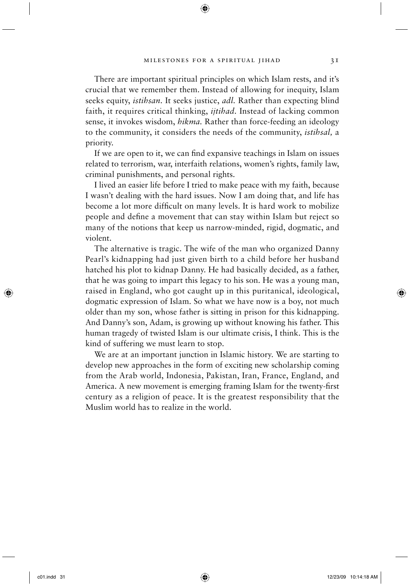There are important spiritual principles on which Islam rests, and it's crucial that we remember them. Instead of allowing for inequity, Islam seeks equity, *istihsan.* It seeks justice, *adl.* Rather than expecting blind faith, it requires critical thinking, *ijtihad.* Instead of lacking common sense, it invokes wisdom, *hikma.* Rather than force-feeding an ideology to the community, it considers the needs of the community, *istihsal,* a priority.

If we are open to it, we can find expansive teachings in Islam on issues related to terrorism, war, interfaith relations, women's rights, family law, criminal punishments, and personal rights.

I lived an easier life before I tried to make peace with my faith, because I wasn't dealing with the hard issues. Now I am doing that, and life has become a lot more difficult on many levels. It is hard work to mobilize people and define a movement that can stay within Islam but reject so many of the notions that keep us narrow-minded, rigid, dogmatic, and violent.

The alternative is tragic. The wife of the man who organized Danny Pearl's kidnapping had just given birth to a child before her husband hatched his plot to kidnap Danny. He had basically decided, as a father, that he was going to impart this legacy to his son. He was a young man, raised in England, who got caught up in this puritanical, ideological, dogmatic expression of Islam. So what we have now is a boy, not much older than my son, whose father is sitting in prison for this kidnapping. And Danny's son, Adam, is growing up without knowing his father. This human tragedy of twisted Islam is our ultimate crisis, I think. This is the kind of suffering we must learn to stop.

We are at an important junction in Islamic history. We are starting to develop new approaches in the form of exciting new scholarship coming from the Arab world, Indonesia, Pakistan, Iran, France, England, and America. A new movement is emerging framing Islam for the twenty-first century as a religion of peace. It is the greatest responsibility that the Muslim world has to realize in the world.

↔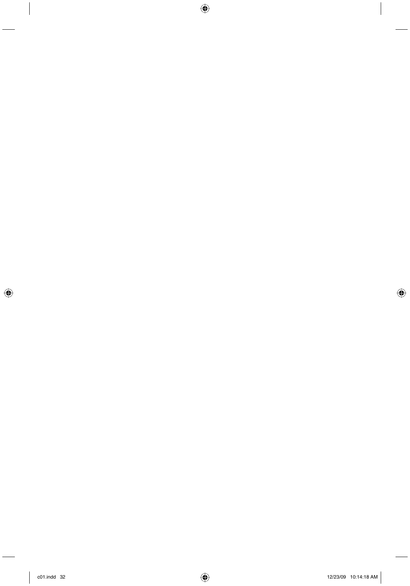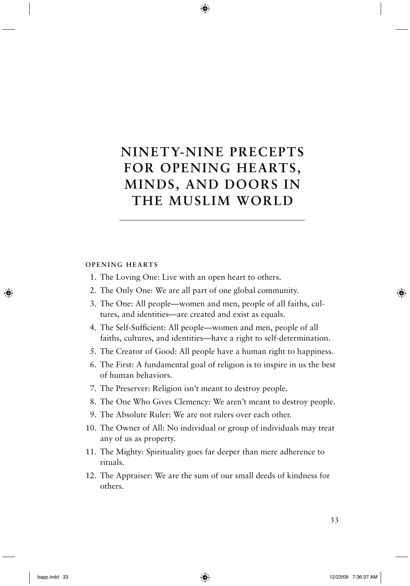## **NINETY-NINE PRECEPTS FOR OPENING HEARTS, MINDS, AND DOORS IN THE MUSLIM WORLD**

⊕

#### **OPENING HEARTS**

- 1. The Loving One: Live with an open heart to others.
- 2. The Only One: We are all part of one global community.
- 3. The One: All people—women and men, people of all faiths, cultures, and identities—are created and exist as equals.
- 4. The Self-Sufficient: All people—women and men, people of all faiths, cultures, and identities—have a right to self-determination.
- 5. The Creator of Good: All people have a human right to happiness.
- 6. The First: A fundamental goal of religion is to inspire in us the best of human behaviors.
- 7. The Preserver: Religion isn't meant to destroy people.
- 8. The One Who Gives Clemency: We aren't meant to destroy people.
- 9. The Absolute Ruler: We are not rulers over each other.
- 10. The Owner of All: No individual or group of individuals may treat any of us as property.
- 11. The Mighty: Spirituality goes far deeper than mere adherence to rituals.
- 12. The Appraiser: We are the sum of our small deeds of kindness for others.

33

↔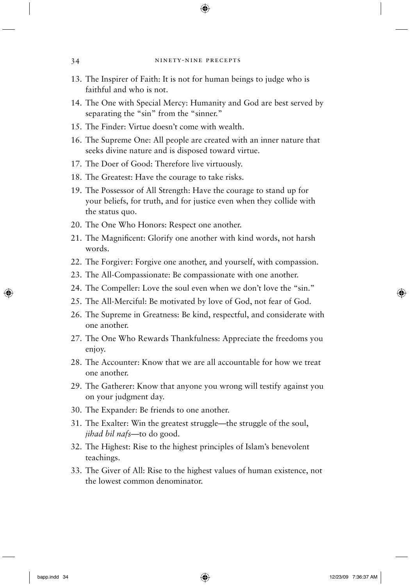#### 34 NINETY-NINE PRECEPTS

⊕

- 13. The Inspirer of Faith: It is not for human beings to judge who is faithful and who is not.
- 14. The One with Special Mercy: Humanity and God are best served by separating the "sin" from the "sinner."
- 15. The Finder: Virtue doesn't come with wealth.
- 16. The Supreme One: All people are created with an inner nature that seeks divine nature and is disposed toward virtue.
- 17. The Doer of Good: Therefore live virtuously.
- 18. The Greatest: Have the courage to take risks.
- 19. The Possessor of All Strength: Have the courage to stand up for your beliefs, for truth, and for justice even when they collide with the status quo.
- 20. The One Who Honors: Respect one another.
- 21. The Magnificent: Glorify one another with kind words, not harsh words.
- 22. The Forgiver: Forgive one another, and yourself, with compassion.
- 23. The All-Compassionate: Be compassionate with one another.
- 24. The Compeller: Love the soul even when we don't love the "sin."
- 25. The All-Merciful: Be motivated by love of God, not fear of God.
- 26. The Supreme in Greatness: Be kind, respectful, and considerate with one another.
- 27. The One Who Rewards Thankfulness: Appreciate the freedoms you enjoy.
- 28. The Accounter: Know that we are all accountable for how we treat one another.
- 29. The Gatherer: Know that anyone you wrong will testify against you on your judgment day.
- 30. The Expander: Be friends to one another.
- 31. The Exalter: Win the greatest struggle—the struggle of the soul, *jihad bil nafs*—to do good.
- 32. The Highest: Rise to the highest principles of Islam's benevolent teachings.
- 33. The Giver of All: Rise to the highest values of human existence, not the lowest common denominator.

↔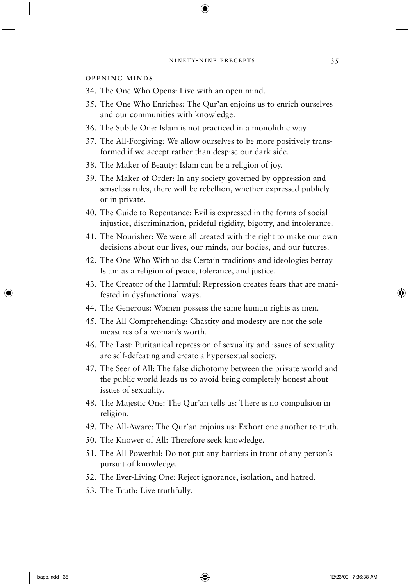#### ninety-nine precepts 35

⊕

#### **OPENING MINDS**

- 34. The One Who Opens: Live with an open mind.
- 35. The One Who Enriches: The Qur'an enjoins us to enrich ourselves and our communities with knowledge.
- 36. The Subtle One: Islam is not practiced in a monolithic way.
- 37. The All-Forgiving: We allow ourselves to be more positively transformed if we accept rather than despise our dark side.
- 38. The Maker of Beauty: Islam can be a religion of joy.
- 39. The Maker of Order: In any society governed by oppression and senseless rules, there will be rebellion, whether expressed publicly or in private.
- 40. The Guide to Repentance: Evil is expressed in the forms of social injustice, discrimination, prideful rigidity, bigotry, and intolerance.
- 41. The Nourisher: We were all created with the right to make our own decisions about our lives, our minds, our bodies, and our futures.
- 42. The One Who Withholds: Certain traditions and ideologies betray Islam as a religion of peace, tolerance, and justice.
- 43. The Creator of the Harmful: Repression creates fears that are manifested in dysfunctional ways.
- 44. The Generous: Women possess the same human rights as men.
- 45. The All-Comprehending: Chastity and modesty are not the sole measures of a woman's worth.
- 46. The Last: Puritanical repression of sexuality and issues of sexuality are self-defeating and create a hypersexual society.
- 47. The Seer of All: The false dichotomy between the private world and the public world leads us to avoid being completely honest about issues of sexuality.
- 48. The Majestic One: The Qur'an tells us: There is no compulsion in religion.
- 49. The All-Aware: The Qur'an enjoins us: Exhort one another to truth.
- 50. The Knower of All: Therefore seek knowledge.
- 51. The All-Powerful: Do not put any barriers in front of any person's pursuit of knowledge.
- 52. The Ever-Living One: Reject ignorance, isolation, and hatred.
- 53. The Truth: Live truthfully.

⊕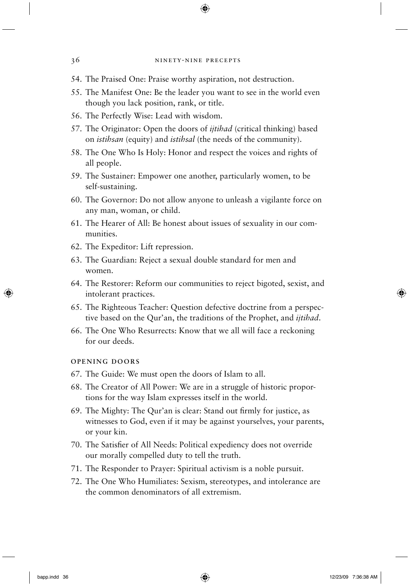#### 36 ninety-nine precepts

⊕

- 54. The Praised One: Praise worthy aspiration, not destruction.
- 55. The Manifest One: Be the leader you want to see in the world even though you lack position, rank, or title.
- 56. The Perfectly Wise: Lead with wisdom.
- 57. The Originator: Open the doors of *ijtihad* (critical thinking) based on *istihsan* (equity) and *istihsal* (the needs of the community).
- 58. The One Who Is Holy: Honor and respect the voices and rights of all people.
- 59. The Sustainer: Empower one another, particularly women, to be self-sustaining.
- 60. The Governor: Do not allow anyone to unleash a vigilante force on any man, woman, or child.
- 61. The Hearer of All: Be honest about issues of sexuality in our communities.
- 62. The Expeditor: Lift repression.
- 63. The Guardian: Reject a sexual double standard for men and women.
- 64. The Restorer: Reform our communities to reject bigoted, sexist, and intolerant practices.
- 65. The Righteous Teacher: Question defective doctrine from a perspective based on the Qur'an, the traditions of the Prophet, and *ijtihad*.
- 66. The One Who Resurrects: Know that we all will face a reckoning for our deeds.

## **OPENING DOORS**

- 67. The Guide: We must open the doors of Islam to all.
- 68. The Creator of All Power: We are in a struggle of historic proportions for the way Islam expresses itself in the world.
- 69. The Mighty: The Qur'an is clear: Stand out firmly for justice, as witnesses to God, even if it may be against yourselves, your parents, or your kin.
- 70. The Satisfier of All Needs: Political expediency does not override our morally compelled duty to tell the truth.
- 71. The Responder to Prayer: Spiritual activism is a noble pursuit.
- 72. The One Who Humiliates: Sexism, stereotypes, and intolerance are the common denominators of all extremism.

⊕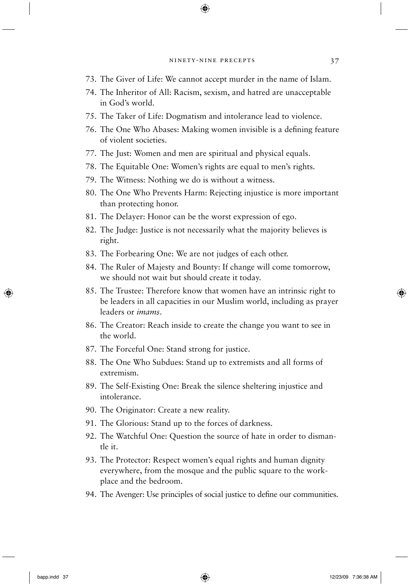#### ninety-nine precepts 37

73. The Giver of Life: We cannot accept murder in the name of Islam.

⊕

- 74. The Inheritor of All: Racism, sexism, and hatred are unacceptable in God's world.
- 75. The Taker of Life: Dogmatism and intolerance lead to violence.
- 76. The One Who Abases: Making women invisible is a defining feature of violent societies.
- 77. The Just: Women and men are spiritual and physical equals.
- 78. The Equitable One: Women's rights are equal to men's rights.
- 79. The Witness: Nothing we do is without a witness.
- 80. The One Who Prevents Harm: Rejecting injustice is more important than protecting honor.
- 81. The Delayer: Honor can be the worst expression of ego.
- 82. The Judge: Justice is not necessarily what the majority believes is right.
- 83. The Forbearing One: We are not judges of each other.
- 84. The Ruler of Majesty and Bounty: If change will come tomorrow, we should not wait but should create it today.
- 85. The Trustee: Therefore know that women have an intrinsic right to be leaders in all capacities in our Muslim world, including as prayer leaders or *imams*.
- 86. The Creator: Reach inside to create the change you want to see in the world.
- 87. The Forceful One: Stand strong for justice.
- 88. The One Who Subdues: Stand up to extremists and all forms of extremism.
- 89. The Self-Existing One: Break the silence sheltering injustice and intolerance.
- 90. The Originator: Create a new reality.
- 91. The Glorious: Stand up to the forces of darkness.
- 92. The Watchful One: Question the source of hate in order to dismantle it.
- 93. The Protector: Respect women's equal rights and human dignity everywhere, from the mosque and the public square to the workplace and the bedroom.
- 94. The Avenger: Use principles of social justice to define our communities.

↔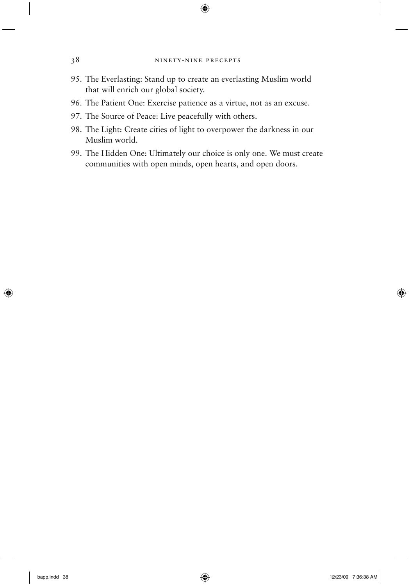#### 38 NINETY-NINE PRECEPTS

 $\bigoplus$ 

- 95. The Everlasting: Stand up to create an everlasting Muslim world that will enrich our global society.
- 96. The Patient One: Exercise patience as a virtue, not as an excuse.
- 97. The Source of Peace: Live peacefully with others.
- 98. The Light: Create cities of light to overpower the darkness in our Muslim world.
- 99. The Hidden One: Ultimately our choice is only one. We must create communities with open minds, open hearts, and open doors.

⊕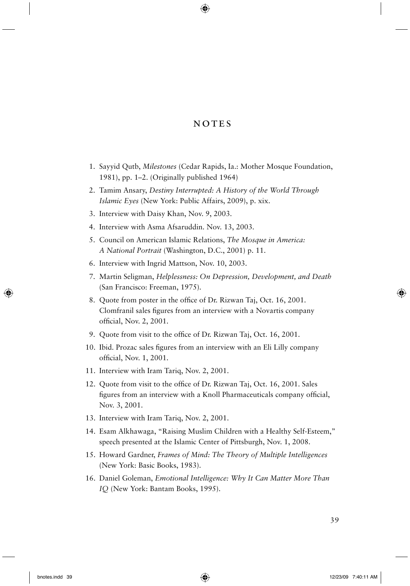## **NOTES**

⊕

- 1. Sayyid Qutb, *Milestones* (Cedar Rapids, Ia.: Mother Mosque Foundation, 1981), pp. 1–2. (Originally published 1964)
- 2. Tamim Ansary, *Destiny Interrupted: A History of the World Through Islamic Eyes* (New York: Public Affairs, 2009), p. xix.
- 3. Interview with Daisy Khan, Nov. 9, 2003.
- 4. Interview with Asma Afsaruddin. Nov. 13, 2003.
- 5. Council on American Islamic Relations, *The Mosque in America: A National Portrait* (Washington, D.C., 2001) p. 11.
- 6. Interview with Ingrid Mattson, Nov. 10, 2003.
- 7. Martin Seligman, *Helplessness: On Depression, Development, and Death* (San Francisco: Freeman, 1975).
- 8. Quote from poster in the office of Dr. Rizwan Taj, Oct. 16, 2001. Clomfranil sales figures from an interview with a Novartis company official, Nov. 2, 2001.
- 9. Quote from visit to the office of Dr. Rizwan Taj, Oct. 16, 2001.
- 10. Ibid. Prozac sales figures from an interview with an Eli Lilly company official, Nov. 1, 2001.
- 11. Interview with Iram Tariq, Nov. 2, 2001.
- 12. Quote from visit to the office of Dr. Rizwan Taj, Oct. 16, 2001. Sales figures from an interview with a Knoll Pharmaceuticals company official, Nov. 3, 2001.
- 13. Interview with Iram Tariq, Nov. 2, 2001.
- 14. Esam Alkhawaga, "Raising Muslim Children with a Healthy Self-Esteem," speech presented at the Islamic Center of Pittsburgh, Nov. 1, 2008.
- 15. Howard Gardner, *Frames of Mind: The Theory of Multiple Intelligences* (New York: Basic Books, 1983).
- 16. Daniel Goleman, *Emotional Intelligence: Why It Can Matter More Than IQ* (New York: Bantam Books, 1995).

39

⇔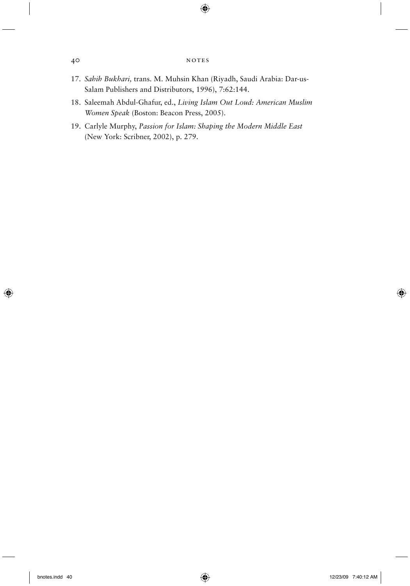#### 40 notes

 $\bigoplus$ 

- 17. *Sahih Bukhari,* trans. M. Muhsin Khan (Riyadh, Saudi Arabia: Dar-us-Salam Publishers and Distributors, 1996), 7:62:144.
- 18. Saleemah Abdul-Ghafur, ed., *Living Islam Out Loud: American Muslim Women Speak* (Boston: Beacon Press, 2005).
- 19. Carlyle Murphy, *Passion for Islam: Shaping the Modern Middle East*  (New York: Scribner, 2002), p. 279.

 $\bigoplus$ 

 $\bigoplus$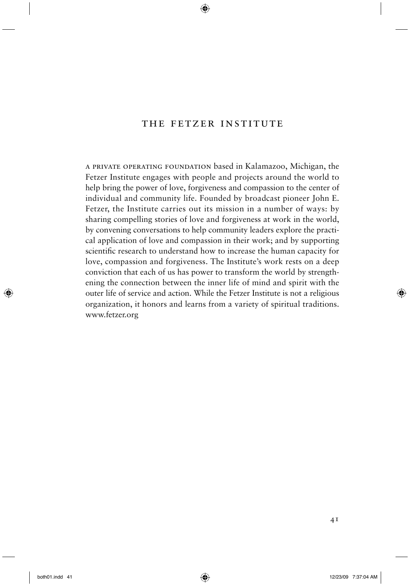## the fetzer institute

⊕

a private operating foundation based in Kalamazoo, Michigan, the Fetzer Institute engages with people and projects around the world to help bring the power of love, forgiveness and compassion to the center of individual and community life. Founded by broadcast pioneer John E. Fetzer, the Institute carries out its mission in a number of ways: by sharing compelling stories of love and forgiveness at work in the world, by convening conversations to help community leaders explore the practical application of love and compassion in their work; and by supporting scientific research to understand how to increase the human capacity for love, compassion and forgiveness. The Institute's work rests on a deep conviction that each of us has power to transform the world by strengthening the connection between the inner life of mind and spirit with the outer life of service and action. While the Fetzer Institute is not a religious organization, it honors and learns from a variety of spiritual traditions. www.fetzer.org

⊕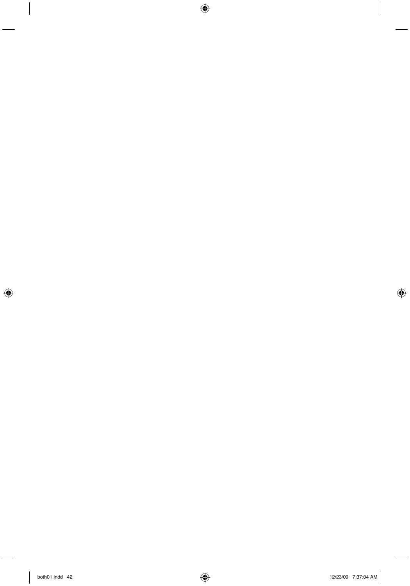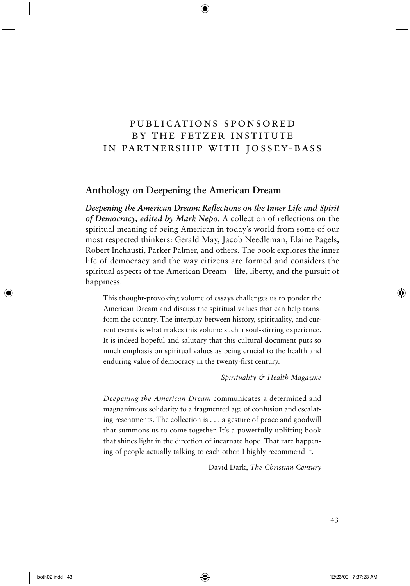## publications sponsored by the fetzer institute in partnership with jossey-bass

⊕

## **Anthology on Deepening the American Dream**

*Deepening the American Dream: Reflections on the Inner Life and Spirit of Democracy, edited by Mark Nepo.* A collection of reflections on the spiritual meaning of being American in today's world from some of our most respected thinkers: Gerald May, Jacob Needleman, Elaine Pagels, Robert Inchausti, Parker Palmer, and others. The book explores the inner life of democracy and the way citizens are formed and considers the spiritual aspects of the American Dream—life, liberty, and the pursuit of happiness.

This thought-provoking volume of essays challenges us to ponder the American Dream and discuss the spiritual values that can help transform the country. The interplay between history, spirituality, and current events is what makes this volume such a soul-stirring experience. It is indeed hopeful and salutary that this cultural document puts so much emphasis on spiritual values as being crucial to the health and enduring value of democracy in the twenty-first century.

#### *Spirituality & Health Magazine*

*Deepening the American Dream* communicates a determined and magnanimous solidarity to a fragmented age of confusion and escalating resentments. The collection is . . . a gesture of peace and goodwill that summons us to come together. It's a powerfully uplifting book that shines light in the direction of incarnate hope. That rare happening of people actually talking to each other. I highly recommend it.

David Dark, *The Christian Century*

⊕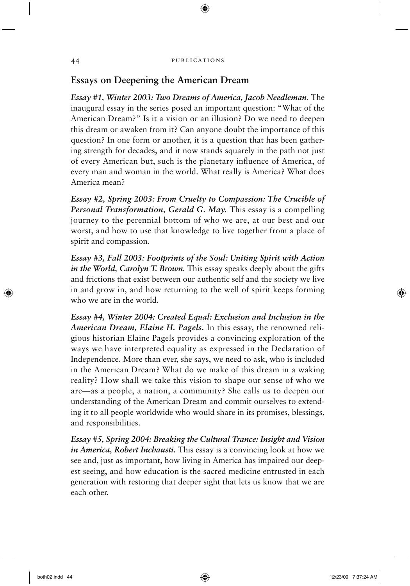⊕

## **Essays on Deepening the American Dream**

*Essay #1, Winter 2003: Two Dreams of America, Jacob Needleman.* The inaugural essay in the series posed an important question: "What of the American Dream?" Is it a vision or an illusion? Do we need to deepen this dream or awaken from it? Can anyone doubt the importance of this question? In one form or another, it is a question that has been gathering strength for decades, and it now stands squarely in the path not just of every American but, such is the planetary influence of America, of every man and woman in the world. What really is America? What does America mean?

*Essay #2, Spring 2003: From Cruelty to Compassion: The Crucible of Personal Transformation, Gerald G. May.* This essay is a compelling journey to the perennial bottom of who we are, at our best and our worst, and how to use that knowledge to live together from a place of spirit and compassion.

*Essay #3, Fall 2003: Footprints of the Soul: Uniting Spirit with Action in the World, Carolyn T. Brown.* This essay speaks deeply about the gifts and frictions that exist between our authentic self and the society we live in and grow in, and how returning to the well of spirit keeps forming who we are in the world.

*Essay #4, Winter 2004: Created Equal: Exclusion and Inclusion in the American Dream, Elaine H. Pagels.* In this essay, the renowned religious historian Elaine Pagels provides a convincing exploration of the ways we have interpreted equality as expressed in the Declaration of Independence. More than ever, she says, we need to ask, who is included in the American Dream? What do we make of this dream in a waking reality? How shall we take this vision to shape our sense of who we are—as a people, a nation, a community? She calls us to deepen our understanding of the American Dream and commit ourselves to extending it to all people worldwide who would share in its promises, blessings, and responsibilities.

*Essay #5, Spring 2004: Breaking the Cultural Trance: Insight and Vision in America, Robert Inchausti.* This essay is a convincing look at how we see and, just as important, how living in America has impaired our deepest seeing, and how education is the sacred medicine entrusted in each generation with restoring that deeper sight that lets us know that we are each other.

↔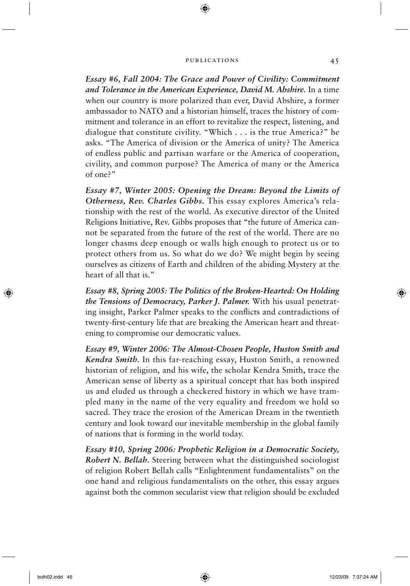⊕

*Essay #6, Fall 2004: The Grace and Power of Civility: Commitment and Tolerance in the American Experience, David M. Abshire.* In a time when our country is more polarized than ever, David Abshire, a former ambassador to NATO and a historian himself, traces the history of commitment and tolerance in an effort to revitalize the respect, listening, and dialogue that constitute civility. "Which . . . is the true America?" he asks. "The America of division or the America of unity? The America of endless public and partisan warfare or the America of cooperation, civility, and common purpose? The America of many or the America of one?"

*Essay #7, Winter 2005: Opening the Dream: Beyond the Limits of Otherness, Rev. Charles Gibbs.* This essay explores America's relationship with the rest of the world. As executive director of the United Religions Initiative, Rev. Gibbs proposes that "the future of America cannot be separated from the future of the rest of the world. There are no longer chasms deep enough or walls high enough to protect us or to protect others from us. So what do we do? We might begin by seeing ourselves as citizens of Earth and children of the abiding Mystery at the heart of all that is."

*Essay #8, Spring 2005: The Politics of the Broken-Hearted: On Holding the Tensions of Democracy, Parker J. Palmer.* With his usual penetrating insight, Parker Palmer speaks to the conflicts and contradictions of twenty-first-century life that are breaking the American heart and threatening to compromise our democratic values.

*Essay #9, Winter 2006: The Almost-Chosen People, Huston Smith and Kendra Smith.* In this far-reaching essay, Huston Smith, a renowned historian of religion, and his wife, the scholar Kendra Smith, trace the American sense of liberty as a spiritual concept that has both inspired us and eluded us through a checkered history in which we have trampled many in the name of the very equality and freedom we hold so sacred. They trace the erosion of the American Dream in the twentieth century and look toward our inevitable membership in the global family of nations that is forming in the world today.

*Essay #10, Spring 2006: Prophetic Religion in a Democratic Society, Robert N. Bellah.* Steering between what the distinguished sociologist of religion Robert Bellah calls "Enlightenment fundamentalists" on the one hand and religious fundamentalists on the other, this essay argues against both the common secularist view that religion should be excluded

⊕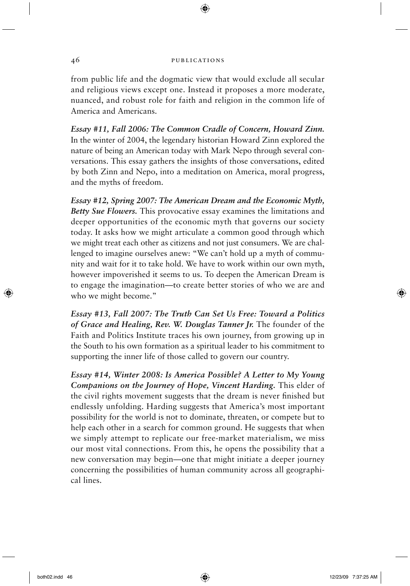⊕

from public life and the dogmatic view that would exclude all secular and religious views except one. Instead it proposes a more moderate, nuanced, and robust role for faith and religion in the common life of America and Americans.

*Essay #11, Fall 2006: The Common Cradle of Concern, Howard Zinn.* In the winter of 2004, the legendary historian Howard Zinn explored the nature of being an American today with Mark Nepo through several conversations. This essay gathers the insights of those conversations, edited by both Zinn and Nepo, into a meditation on America, moral progress, and the myths of freedom.

*Essay #12, Spring 2007: The American Dream and the Economic Myth, Betty Sue Flowers.* This provocative essay examines the limitations and deeper opportunities of the economic myth that governs our society today. It asks how we might articulate a common good through which we might treat each other as citizens and not just consumers. We are challenged to imagine ourselves anew: "We can't hold up a myth of community and wait for it to take hold. We have to work within our own myth, however impoverished it seems to us. To deepen the American Dream is to engage the imagination—to create better stories of who we are and who we might become."

*Essay #13, Fall 2007: The Truth Can Set Us Free: Toward a Politics of Grace and Healing, Rev. W. Douglas Tanner Jr.* The founder of the Faith and Politics Institute traces his own journey, from growing up in the South to his own formation as a spiritual leader to his commitment to supporting the inner life of those called to govern our country.

*Essay #14, Winter 2008: Is America Possible? A Letter to My Young Companions on the Journey of Hope, Vincent Harding.* This elder of the civil rights movement suggests that the dream is never finished but endlessly unfolding. Harding suggests that America's most important possibility for the world is not to dominate, threaten, or compete but to help each other in a search for common ground. He suggests that when we simply attempt to replicate our free-market materialism, we miss our most vital connections. From this, he opens the possibility that a new conversation may begin—one that might initiate a deeper journey concerning the possibilities of human community across all geographical lines.

⊕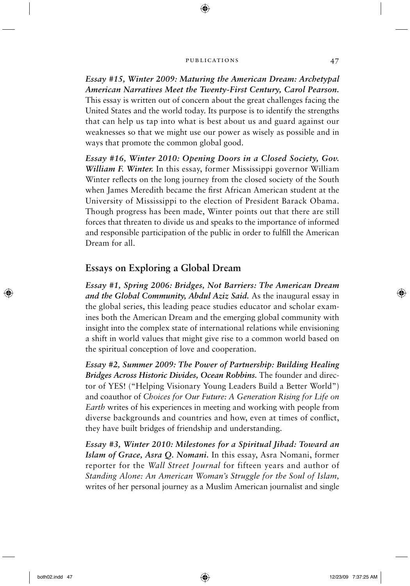⊕

*Essay #15, Winter 2009: Maturing the American Dream: Archetypal American Narratives Meet the Twenty-First Century, Carol Pearson.* This essay is written out of concern about the great challenges facing the United States and the world today. Its purpose is to identify the strengths that can help us tap into what is best about us and guard against our weaknesses so that we might use our power as wisely as possible and in ways that promote the common global good.

*Essay #16, Winter 2010: Opening Doors in a Closed Society, Gov. William F. Winter.* In this essay, former Mississippi governor William Winter reflects on the long journey from the closed society of the South when James Meredith became the first African American student at the University of Mississippi to the election of President Barack Obama. Though progress has been made, Winter points out that there are still forces that threaten to divide us and speaks to the importance of informed and responsible participation of the public in order to fulfill the American Dream for all.

## **Essays on Exploring a Global Dream**

*Essay #1, Spring 2006: Bridges, Not Barriers: The American Dream and the Global Community, Abdul Aziz Said.* As the inaugural essay in the global series, this leading peace studies educator and scholar examines both the American Dream and the emerging global community with insight into the complex state of international relations while envisioning a shift in world values that might give rise to a common world based on the spiritual conception of love and cooperation.

*Essay #2, Summer 2009: The Power of Partnership: Building Healing Bridges Across Historic Divides, Ocean Robbins.* The founder and director of YES! ("Helping Visionary Young Leaders Build a Better World") and coauthor of *Choices for Our Future: A Generation Rising for Life on Earth* writes of his experiences in meeting and working with people from diverse backgrounds and countries and how, even at times of conflict, they have built bridges of friendship and understanding.

*Essay #3, Winter 2010: Milestones for a Spiritual Jihad: Toward an Islam of Grace, Asra Q. Nomani.* In this essay, Asra Nomani, former reporter for the *Wall Street Journal* for fifteen years and author of *Standing Alone: An American Woman's Struggle for the Soul of Islam,* writes of her personal journey as a Muslim American journalist and single

⊕